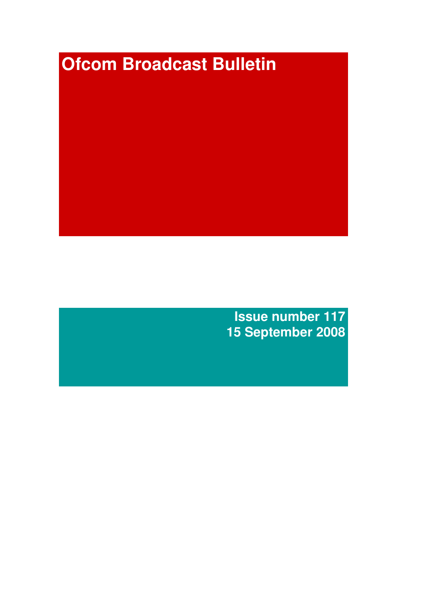# **Ofcom Broadcast Bulletin**

**Issue number 117 15 September 2008**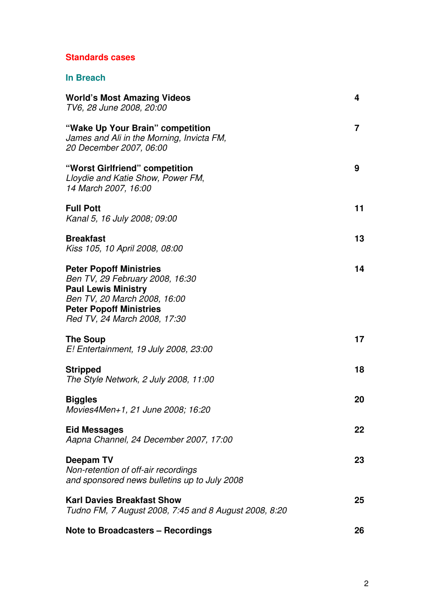# **Standards cases**

## **In Breach**

| <b>World's Most Amazing Videos</b><br>TV6, 28 June 2008, 20:00                                                                                                                                    | 4              |
|---------------------------------------------------------------------------------------------------------------------------------------------------------------------------------------------------|----------------|
| "Wake Up Your Brain" competition<br>James and Ali in the Morning, Invicta FM,<br>20 December 2007, 06:00                                                                                          | $\overline{7}$ |
| "Worst Girlfriend" competition<br>Lloydie and Katie Show, Power FM,<br>14 March 2007, 16:00                                                                                                       | 9              |
| <b>Full Pott</b><br>Kanal 5, 16 July 2008; 09:00                                                                                                                                                  | 11             |
| <b>Breakfast</b><br>Kiss 105, 10 April 2008, 08:00                                                                                                                                                | 13             |
| <b>Peter Popoff Ministries</b><br>Ben TV, 29 February 2008, 16:30<br><b>Paul Lewis Ministry</b><br>Ben TV, 20 March 2008, 16:00<br><b>Peter Popoff Ministries</b><br>Red TV, 24 March 2008, 17:30 | 14             |
| <b>The Soup</b><br>E! Entertainment, 19 July 2008, 23:00                                                                                                                                          | 17             |
| <b>Stripped</b><br>The Style Network, 2 July 2008, 11:00                                                                                                                                          | 18             |
| <b>Biggles</b><br>Movies4Men+1, 21 June 2008; 16:20                                                                                                                                               | 20             |
| <b>Eid Messages</b><br>Aapna Channel, 24 December 2007, 17:00                                                                                                                                     | 22             |
| Deepam TV<br>Non-retention of off-air recordings<br>and sponsored news bulletins up to July 2008                                                                                                  | 23             |
| <b>Karl Davies Breakfast Show</b><br>Tudno FM, 7 August 2008, 7:45 and 8 August 2008, 8:20                                                                                                        | 25             |
| <b>Note to Broadcasters - Recordings</b>                                                                                                                                                          | 26             |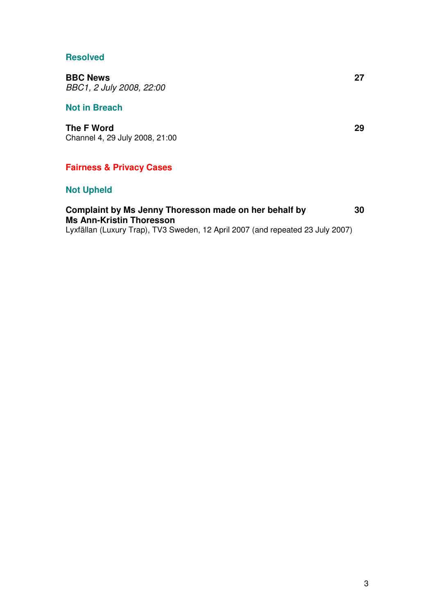#### **Resolved**

**BBC News 27** *BBC1, 2 July 2008, 22:00*

#### **Not in Breach**

**The F Word 29** Channel 4, 29 July 2008, 21:00

## **Fairness & Privacy Cases**

## **Not Upheld**

# **Complaint by Ms Jenny Thoresson made on her behalf by 30 Ms Ann-Kristin Thoresson**

Lyxfällan (Luxury Trap), TV3 Sweden, 12 April 2007 (and repeated 23 July 2007)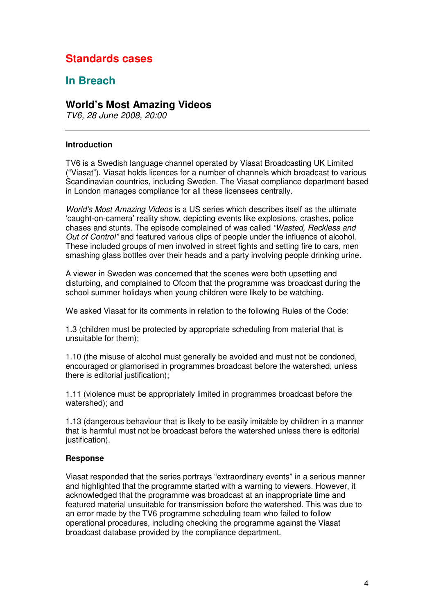# **Standards cases**

# **In Breach**

### **World's Most Amazing Videos**

*TV6, 28 June 2008, 20:00*

#### **Introduction**

TV6 is a Swedish language channel operated by Viasat Broadcasting UK Limited ("Viasat"). Viasat holds licences for a number of channels which broadcast to various Scandinavian countries, including Sweden. The Viasat compliance department based in London manages compliance for all these licensees centrally.

*World's Most Amazing Videos* is a US series which describes itself as the ultimate 'caught-on-camera' reality show, depicting events like explosions, crashes, police chases and stunts. The episode complained of was called *"Wasted, Reckless and Out of Control"* and featured various clips of people under the influence of alcohol. These included groups of men involved in street fights and setting fire to cars, men smashing glass bottles over their heads and a party involving people drinking urine.

A viewer in Sweden was concerned that the scenes were both upsetting and disturbing, and complained to Ofcom that the programme was broadcast during the school summer holidays when young children were likely to be watching.

We asked Viasat for its comments in relation to the following Rules of the Code:

1.3 (children must be protected by appropriate scheduling from material that is unsuitable for them);

1.10 (the misuse of alcohol must generally be avoided and must not be condoned, encouraged or glamorised in programmes broadcast before the watershed, unless there is editorial justification);

1.11 (violence must be appropriately limited in programmes broadcast before the watershed); and

1.13 (dangerous behaviour that is likely to be easily imitable by children in a manner that is harmful must not be broadcast before the watershed unless there is editorial justification).

#### **Response**

Viasat responded that the series portrays "extraordinary events" in a serious manner and highlighted that the programme started with a warning to viewers. However, it acknowledged that the programme was broadcast at an inappropriate time and featured material unsuitable for transmission before the watershed. This was due to an error made by the TV6 programme scheduling team who failed to follow operational procedures, including checking the programme against the Viasat broadcast database provided by the compliance department.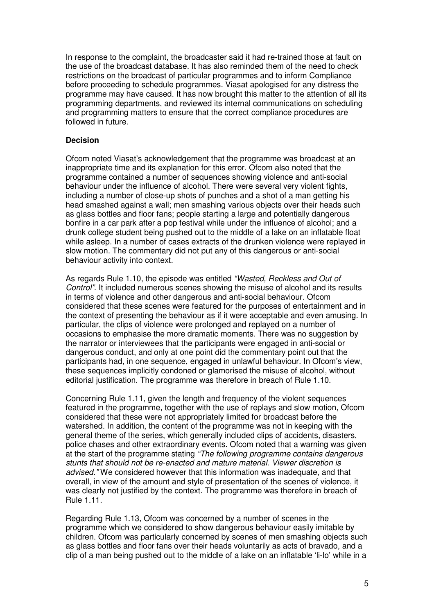In response to the complaint, the broadcaster said it had re-trained those at fault on the use of the broadcast database. It has also reminded them of the need to check restrictions on the broadcast of particular programmes and to inform Compliance before proceeding to schedule programmes. Viasat apologised for any distress the programme may have caused. It has now brought this matter to the attention of all its programming departments, and reviewed its internal communications on scheduling and programming matters to ensure that the correct compliance procedures are followed in future.

#### **Decision**

Ofcom noted Viasat's acknowledgement that the programme was broadcast at an inappropriate time and its explanation for this error. Ofcom also noted that the programme contained a number of sequences showing violence and anti-social behaviour under the influence of alcohol. There were several very violent fights, including a number of close-up shots of punches and a shot of a man getting his head smashed against a wall; men smashing various objects over their heads such as glass bottles and floor fans; people starting a large and potentially dangerous bonfire in a car park after a pop festival while under the influence of alcohol; and a drunk college student being pushed out to the middle of a lake on an inflatable float while asleep. In a number of cases extracts of the drunken violence were replayed in slow motion. The commentary did not put any of this dangerous or anti-social behaviour activity into context.

As regards Rule 1.10, the episode was entitled *"Wasted, Reckless and Out of Control"*. It included numerous scenes showing the misuse of alcohol and its results in terms of violence and other dangerous and anti-social behaviour. Ofcom considered that these scenes were featured for the purposes of entertainment and in the context of presenting the behaviour as if it were acceptable and even amusing. In particular, the clips of violence were prolonged and replayed on a number of occasions to emphasise the more dramatic moments. There was no suggestion by the narrator or interviewees that the participants were engaged in anti-social or dangerous conduct, and only at one point did the commentary point out that the participants had, in one sequence, engaged in unlawful behaviour. In Ofcom's view, these sequences implicitly condoned or glamorised the misuse of alcohol, without editorial justification. The programme was therefore in breach of Rule 1.10.

Concerning Rule 1.11, given the length and frequency of the violent sequences featured in the programme, together with the use of replays and slow motion, Ofcom considered that these were not appropriately limited for broadcast before the watershed. In addition, the content of the programme was not in keeping with the general theme of the series, which generally included clips of accidents, disasters, police chases and other extraordinary events. Ofcom noted that a warning was given at the start of the programme stating *"The following programme contains dangerous stunts that should not be re-enacted and mature material. Viewer discretion is advised."* We considered however that this information was inadequate, and that overall, in view of the amount and style of presentation of the scenes of violence, it was clearly not justified by the context. The programme was therefore in breach of Rule 1.11.

Regarding Rule 1.13, Ofcom was concerned by a number of scenes in the programme which we considered to show dangerous behaviour easily imitable by children. Ofcom was particularly concerned by scenes of men smashing objects such as glass bottles and floor fans over their heads voluntarily as acts of bravado, and a clip of a man being pushed out to the middle of a lake on an inflatable 'li-lo' while in a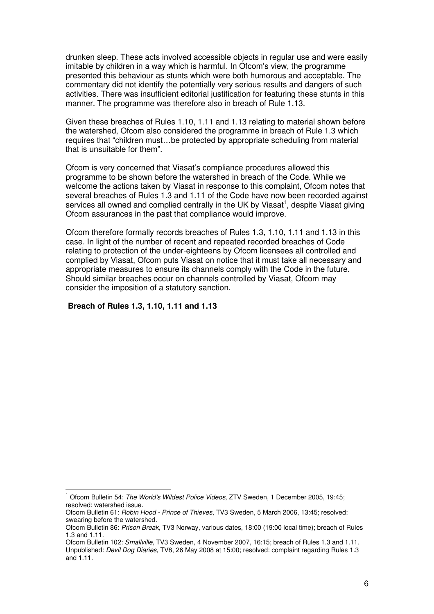drunken sleep. These acts involved accessible objects in regular use and were easily imitable by children in a way which is harmful. In Ofcom's view, the programme presented this behaviour as stunts which were both humorous and acceptable. The commentary did not identify the potentially very serious results and dangers of such activities. There was insufficient editorial justification for featuring these stunts in this manner. The programme was therefore also in breach of Rule 1.13.

Given these breaches of Rules 1.10, 1.11 and 1.13 relating to material shown before the watershed, Ofcom also considered the programme in breach of Rule 1.3 which requires that "children must…be protected by appropriate scheduling from material that is unsuitable for them".

Ofcom is very concerned that Viasat's compliance procedures allowed this programme to be shown before the watershed in breach of the Code. While we welcome the actions taken by Viasat in response to this complaint, Ofcom notes that several breaches of Rules 1.3 and 1.11 of the Code have now been recorded against services all owned and complied centrally in the UK by Viasat<sup>1</sup>, despite Viasat giving Ofcom assurances in the past that compliance would improve.

Ofcom therefore formally records breaches of Rules 1.3, 1.10, 1.11 and 1.13 in this case. In light of the number of recent and repeated recorded breaches of Code relating to protection of the under-eighteens by Ofcom licensees all controlled and complied by Viasat, Ofcom puts Viasat on notice that it must take all necessary and appropriate measures to ensure its channels comply with the Code in the future. Should similar breaches occur on channels controlled by Viasat, Ofcom may consider the imposition of a statutory sanction.

#### **Breach of Rules 1.3, 1.10, 1.11 and 1.13**

<sup>1</sup> Ofcom Bulletin 54: *The World's Wildest Police Videos*, ZTV Sweden, 1 December 2005, 19:45; resolved: watershed issue.

Ofcom Bulletin 61: *Robin Hood - Prince of Thieves*, TV3 Sweden, 5 March 2006, 13:45; resolved: swearing before the watershed.

Ofcom Bulletin 86: *Prison Break*, TV3 Norway, various dates, 18:00 (19:00 local time); breach of Rules 1.3 and 1.11.

Ofcom Bulletin 102: *Smallville*, TV3 Sweden, 4 November 2007, 16:15; breach of Rules 1.3 and 1.11. Unpublished: *Devil Dog Diaries*, TV8, 26 May 2008 at 15:00; resolved: complaint regarding Rules 1.3 and 1.11.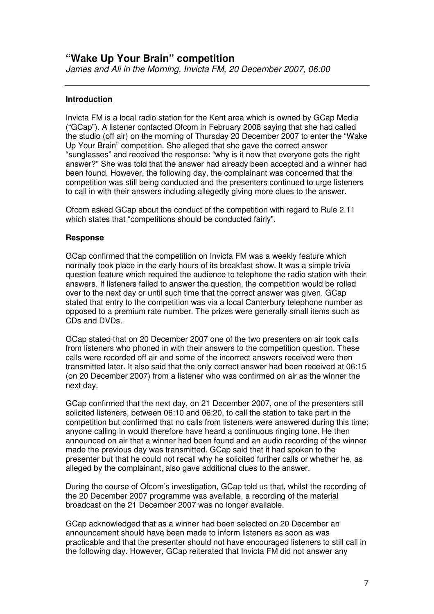#### **Introduction**

Invicta FM is a local radio station for the Kent area which is owned by GCap Media ("GCap"). A listener contacted Ofcom in February 2008 saying that she had called the studio (off air) on the morning of Thursday 20 December 2007 to enter the "Wake Up Your Brain" competition. She alleged that she gave the correct answer "sunglasses" and received the response: "why is it now that everyone gets the right answer?" She was told that the answer had already been accepted and a winner had been found. However, the following day, the complainant was concerned that the competition was still being conducted and the presenters continued to urge listeners to call in with their answers including allegedly giving more clues to the answer.

Ofcom asked GCap about the conduct of the competition with regard to Rule 2.11 which states that "competitions should be conducted fairly".

#### **Response**

GCap confirmed that the competition on Invicta FM was a weekly feature which normally took place in the early hours of its breakfast show. It was a simple trivia question feature which required the audience to telephone the radio station with their answers. If listeners failed to answer the question, the competition would be rolled over to the next day or until such time that the correct answer was given. GCap stated that entry to the competition was via a local Canterbury telephone number as opposed to a premium rate number. The prizes were generally small items such as CDs and DVDs.

GCap stated that on 20 December 2007 one of the two presenters on air took calls from listeners who phoned in with their answers to the competition question. These calls were recorded off air and some of the incorrect answers received were then transmitted later. It also said that the only correct answer had been received at 06:15 (on 20 December 2007) from a listener who was confirmed on air as the winner the next day.

GCap confirmed that the next day, on 21 December 2007, one of the presenters still solicited listeners, between 06:10 and 06:20, to call the station to take part in the competition but confirmed that no calls from listeners were answered during this time; anyone calling in would therefore have heard a continuous ringing tone. He then announced on air that a winner had been found and an audio recording of the winner made the previous day was transmitted. GCap said that it had spoken to the presenter but that he could not recall why he solicited further calls or whether he, as alleged by the complainant, also gave additional clues to the answer.

During the course of Ofcom's investigation, GCap told us that, whilst the recording of the 20 December 2007 programme was available, a recording of the material broadcast on the 21 December 2007 was no longer available.

GCap acknowledged that as a winner had been selected on 20 December an announcement should have been made to inform listeners as soon as was practicable and that the presenter should not have encouraged listeners to still call in the following day. However, GCap reiterated that Invicta FM did not answer any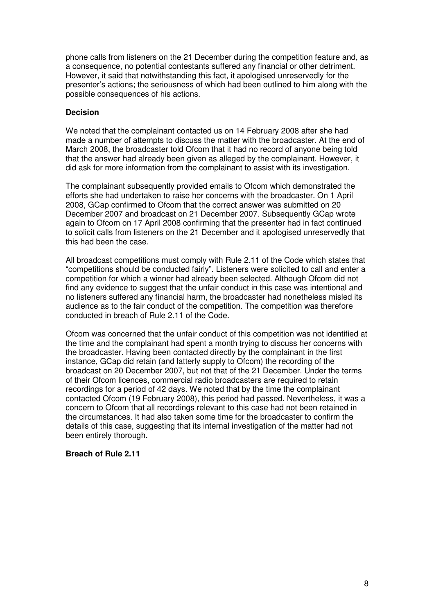phone calls from listeners on the 21 December during the competition feature and, as a consequence, no potential contestants suffered any financial or other detriment. However, it said that notwithstanding this fact, it apologised unreservedly for the presenter's actions; the seriousness of which had been outlined to him along with the possible consequences of his actions.

#### **Decision**

We noted that the complainant contacted us on 14 February 2008 after she had made a number of attempts to discuss the matter with the broadcaster. At the end of March 2008, the broadcaster told Ofcom that it had no record of anyone being told that the answer had already been given as alleged by the complainant. However, it did ask for more information from the complainant to assist with its investigation.

The complainant subsequently provided emails to Ofcom which demonstrated the efforts she had undertaken to raise her concerns with the broadcaster. On 1 April 2008, GCap confirmed to Ofcom that the correct answer was submitted on 20 December 2007 and broadcast on 21 December 2007. Subsequently GCap wrote again to Ofcom on 17 April 2008 confirming that the presenter had in fact continued to solicit calls from listeners on the 21 December and it apologised unreservedly that this had been the case.

All broadcast competitions must comply with Rule 2.11 of the Code which states that "competitions should be conducted fairly". Listeners were solicited to call and enter a competition for which a winner had already been selected. Although Ofcom did not find any evidence to suggest that the unfair conduct in this case was intentional and no listeners suffered any financial harm, the broadcaster had nonetheless misled its audience as to the fair conduct of the competition. The competition was therefore conducted in breach of Rule 2.11 of the Code.

Ofcom was concerned that the unfair conduct of this competition was not identified at the time and the complainant had spent a month trying to discuss her concerns with the broadcaster. Having been contacted directly by the complainant in the first instance, GCap did retain (and latterly supply to Ofcom) the recording of the broadcast on 20 December 2007, but not that of the 21 December. Under the terms of their Ofcom licences, commercial radio broadcasters are required to retain recordings for a period of 42 days. We noted that by the time the complainant contacted Ofcom (19 February 2008), this period had passed. Nevertheless, it was a concern to Ofcom that all recordings relevant to this case had not been retained in the circumstances. It had also taken some time for the broadcaster to confirm the details of this case, suggesting that its internal investigation of the matter had not been entirely thorough.

#### **Breach of Rule 2.11**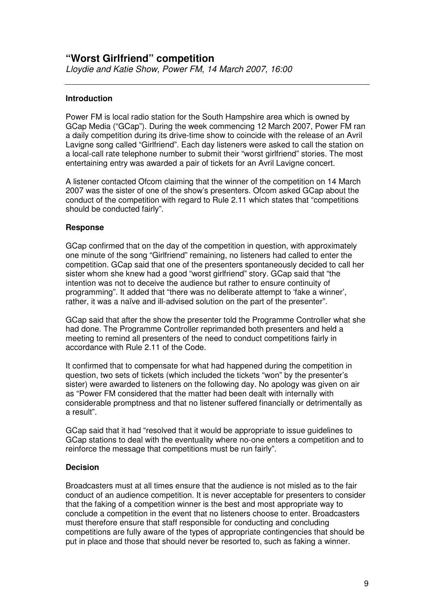#### **Introduction**

Power FM is local radio station for the South Hampshire area which is owned by GCap Media ("GCap"). During the week commencing 12 March 2007, Power FM ran a daily competition during its drive-time show to coincide with the release of an Avril Lavigne song called "Girlfriend". Each day listeners were asked to call the station on a local-call rate telephone number to submit their "worst girlfriend" stories. The most entertaining entry was awarded a pair of tickets for an Avril Lavigne concert.

A listener contacted Ofcom claiming that the winner of the competition on 14 March 2007 was the sister of one of the show's presenters. Ofcom asked GCap about the conduct of the competition with regard to Rule 2.11 which states that "competitions should be conducted fairly".

#### **Response**

GCap confirmed that on the day of the competition in question, with approximately one minute of the song "Girlfriend" remaining, no listeners had called to enter the competition. GCap said that one of the presenters spontaneously decided to call her sister whom she knew had a good "worst girlfriend" story. GCap said that "the intention was not to deceive the audience but rather to ensure continuity of programming". It added that "there was no deliberate attempt to 'fake a winner', rather, it was a naïve and ill-advised solution on the part of the presenter".

GCap said that after the show the presenter told the Programme Controller what she had done. The Programme Controller reprimanded both presenters and held a meeting to remind all presenters of the need to conduct competitions fairly in accordance with Rule 2.11 of the Code.

It confirmed that to compensate for what had happened during the competition in question, two sets of tickets (which included the tickets "won" by the presenter's sister) were awarded to listeners on the following day. No apology was given on air as "Power FM considered that the matter had been dealt with internally with considerable promptness and that no listener suffered financially or detrimentally as a result".

GCap said that it had "resolved that it would be appropriate to issue guidelines to GCap stations to deal with the eventuality where no-one enters a competition and to reinforce the message that competitions must be run fairly".

#### **Decision**

Broadcasters must at all times ensure that the audience is not misled as to the fair conduct of an audience competition. It is never acceptable for presenters to consider that the faking of a competition winner is the best and most appropriate way to conclude a competition in the event that no listeners choose to enter. Broadcasters must therefore ensure that staff responsible for conducting and concluding competitions are fully aware of the types of appropriate contingencies that should be put in place and those that should never be resorted to, such as faking a winner.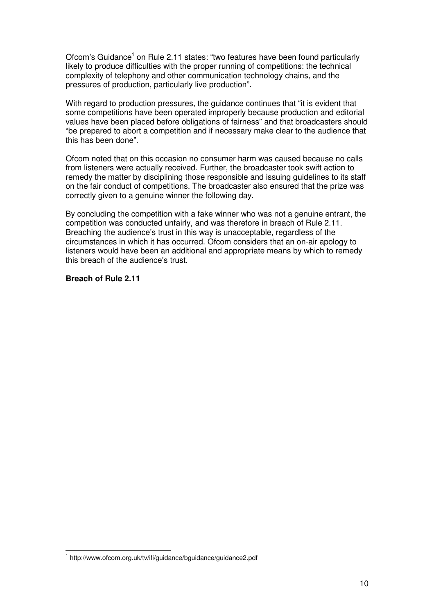Ofcom's Guidance<sup>1</sup> on Rule 2.11 states: "two features have been found particularly likely to produce difficulties with the proper running of competitions: the technical complexity of telephony and other communication technology chains, and the pressures of production, particularly live production".

With regard to production pressures, the guidance continues that "it is evident that some competitions have been operated improperly because production and editorial values have been placed before obligations of fairness" and that broadcasters should "be prepared to abort a competition and if necessary make clear to the audience that this has been done".

Ofcom noted that on this occasion no consumer harm was caused because no calls from listeners were actually received. Further, the broadcaster took swift action to remedy the matter by disciplining those responsible and issuing guidelines to its staff on the fair conduct of competitions. The broadcaster also ensured that the prize was correctly given to a genuine winner the following day.

By concluding the competition with a fake winner who was not a genuine entrant, the competition was conducted unfairly, and was therefore in breach of Rule 2.11. Breaching the audience's trust in this way is unacceptable, regardless of the circumstances in which it has occurred. Ofcom considers that an on-air apology to listeners would have been an additional and appropriate means by which to remedy this breach of the audience's trust.

#### **Breach of Rule 2.11**

<sup>1</sup> http://www.ofcom.org.uk/tv/ifi/guidance/bguidance/guidance2.pdf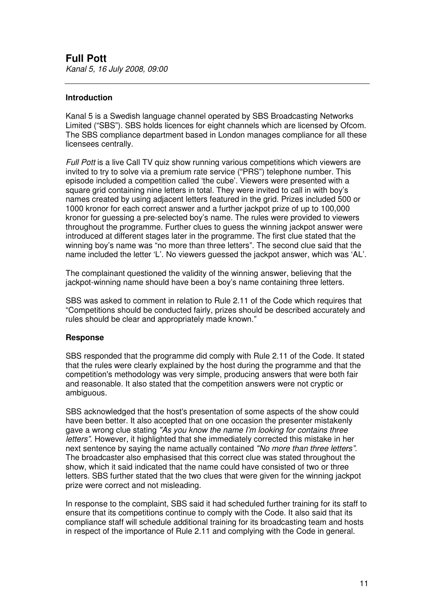#### **Introduction**

Kanal 5 is a Swedish language channel operated by SBS Broadcasting Networks Limited ("SBS"). SBS holds licences for eight channels which are licensed by Ofcom. The SBS compliance department based in London manages compliance for all these licensees centrally.

*Full Pott* is a live Call TV quiz show running various competitions which viewers are invited to try to solve via a premium rate service ("PRS") telephone number. This episode included a competition called 'the cube'. Viewers were presented with a square grid containing nine letters in total. They were invited to call in with boy's names created by using adjacent letters featured in the grid. Prizes included 500 or 1000 kronor for each correct answer and a further jackpot prize of up to 100,000 kronor for guessing a pre-selected boy's name. The rules were provided to viewers throughout the programme. Further clues to guess the winning jackpot answer were introduced at different stages later in the programme. The first clue stated that the winning boy's name was "no more than three letters". The second clue said that the name included the letter 'L'. No viewers guessed the jackpot answer, which was 'AL'.

The complainant questioned the validity of the winning answer, believing that the jackpot-winning name should have been a boy's name containing three letters.

SBS was asked to comment in relation to Rule 2.11 of the Code which requires that "Competitions should be conducted fairly, prizes should be described accurately and rules should be clear and appropriately made known."

#### **Response**

SBS responded that the programme did comply with Rule 2.11 of the Code. It stated that the rules were clearly explained by the host during the programme and that the competition's methodology was very simple, producing answers that were both fair and reasonable. It also stated that the competition answers were not cryptic or ambiguous.

SBS acknowledged that the host's presentation of some aspects of the show could have been better. It also accepted that on one occasion the presenter mistakenly gave a wrong clue stating *"As you know the name I'm looking for contains three letters"*. However, it highlighted that she immediately corrected this mistake in her next sentence by saying the name actually contained *"No more than three letters".* The broadcaster also emphasised that this correct clue was stated throughout the show, which it said indicated that the name could have consisted of two or three letters. SBS further stated that the two clues that were given for the winning jackpot prize were correct and not misleading.

In response to the complaint, SBS said it had scheduled further training for its staff to ensure that its competitions continue to comply with the Code. It also said that its compliance staff will schedule additional training for its broadcasting team and hosts in respect of the importance of Rule 2.11 and complying with the Code in general.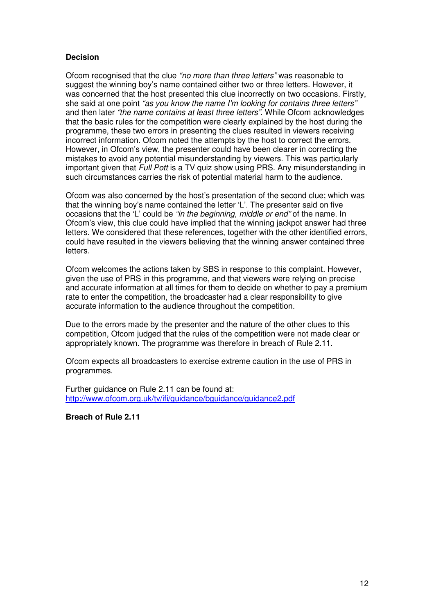#### **Decision**

Ofcom recognised that the clue *"no more than three letters"* was reasonable to suggest the winning boy's name contained either two or three letters. However, it was concerned that the host presented this clue incorrectly on two occasions. Firstly, she said at one point *"as you know the name I'm looking for contains three letters"* and then later *"the name contains at least three letters"*. While Ofcom acknowledges that the basic rules for the competition were clearly explained by the host during the programme, these two errors in presenting the clues resulted in viewers receiving incorrect information. Ofcom noted the attempts by the host to correct the errors. However, in Ofcom's view, the presenter could have been clearer in correcting the mistakes to avoid any potential misunderstanding by viewers. This was particularly important given that *Full Pott* is a TV quiz show using PRS. Any misunderstanding in such circumstances carries the risk of potential material harm to the audience.

Ofcom was also concerned by the host's presentation of the second clue; which was that the winning boy's name contained the letter 'L'. The presenter said on five occasions that the 'L' could be *"in the beginning, middle or end"* of the name. In Ofcom's view, this clue could have implied that the winning jackpot answer had three letters. We considered that these references, together with the other identified errors, could have resulted in the viewers believing that the winning answer contained three letters.

Ofcom welcomes the actions taken by SBS in response to this complaint. However, given the use of PRS in this programme, and that viewers were relying on precise and accurate information at all times for them to decide on whether to pay a premium rate to enter the competition, the broadcaster had a clear responsibility to give accurate information to the audience throughout the competition.

Due to the errors made by the presenter and the nature of the other clues to this competition, Ofcom judged that the rules of the competition were not made clear or appropriately known. The programme was therefore in breach of Rule 2.11.

Ofcom expects all broadcasters to exercise extreme caution in the use of PRS in programmes.

Further guidance on Rule 2.11 can be found at: http://www.ofcom.org.uk/tv/ifi/guidance/bguidance/guidance2.pdf

**Breach of Rule 2.11**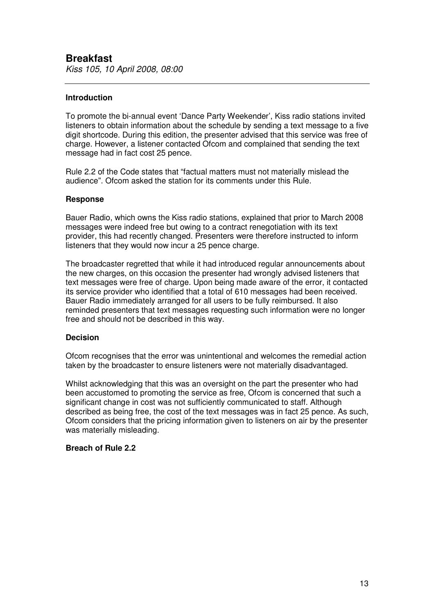#### **Introduction**

To promote the bi-annual event 'Dance Party Weekender', Kiss radio stations invited listeners to obtain information about the schedule by sending a text message to a five digit shortcode. During this edition, the presenter advised that this service was free of charge. However, a listener contacted Ofcom and complained that sending the text message had in fact cost 25 pence.

Rule 2.2 of the Code states that "factual matters must not materially mislead the audience". Ofcom asked the station for its comments under this Rule.

#### **Response**

Bauer Radio, which owns the Kiss radio stations, explained that prior to March 2008 messages were indeed free but owing to a contract renegotiation with its text provider, this had recently changed. Presenters were therefore instructed to inform listeners that they would now incur a 25 pence charge.

The broadcaster regretted that while it had introduced regular announcements about the new charges, on this occasion the presenter had wrongly advised listeners that text messages were free of charge. Upon being made aware of the error, it contacted its service provider who identified that a total of 610 messages had been received. Bauer Radio immediately arranged for all users to be fully reimbursed. It also reminded presenters that text messages requesting such information were no longer free and should not be described in this way.

#### **Decision**

Ofcom recognises that the error was unintentional and welcomes the remedial action taken by the broadcaster to ensure listeners were not materially disadvantaged.

Whilst acknowledging that this was an oversight on the part the presenter who had been accustomed to promoting the service as free, Ofcom is concerned that such a significant change in cost was not sufficiently communicated to staff. Although described as being free, the cost of the text messages was in fact 25 pence. As such, Ofcom considers that the pricing information given to listeners on air by the presenter was materially misleading.

#### **Breach of Rule 2.2**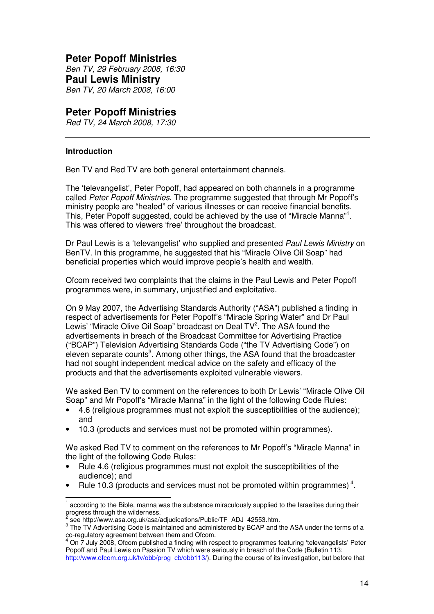## **Peter Popoff Ministries**

*Ben TV, 29 February 2008, 16:30* **Paul Lewis Ministry** *Ben TV, 20 March 2008, 16:00*

## **Peter Popoff Ministries**

*Red TV, 24 March 2008, 17:30*

#### **Introduction**

Ben TV and Red TV are both general entertainment channels.

The 'televangelist', Peter Popoff, had appeared on both channels in a programme called *Peter Popoff Ministries*. The programme suggested that through Mr Popoff's ministry people are "healed" of various illnesses or can receive financial benefits. This, Peter Popoff suggested, could be achieved by the use of "Miracle Manna"<sup>1</sup>. This was offered to viewers 'free' throughout the broadcast.

Dr Paul Lewis is a 'televangelist' who supplied and presented *Paul Lewis Ministry* on BenTV*.* In this programme, he suggested that his "Miracle Olive Oil Soap" had beneficial properties which would improve people's health and wealth.

Ofcom received two complaints that the claims in the Paul Lewis and Peter Popoff programmes were, in summary, unjustified and exploitative.

On 9 May 2007, the Advertising Standards Authority ("ASA") published a finding in respect of advertisements for Peter Popoff's "Miracle Spring Water" and Dr Paul Lewis' "Miracle Olive Oil Soap" broadcast on Deal TV<sup>2</sup>. The ASA found the advertisements in breach of the Broadcast Committee for Advertising Practice ("BCAP") Television Advertising Standards Code ("the TV Advertising Code") on eleven separate counts<sup>3</sup>. Among other things, the ASA found that the broadcaster had not sought independent medical advice on the safety and efficacy of the products and that the advertisements exploited vulnerable viewers.

We asked Ben TV to comment on the references to both Dr Lewis' "Miracle Olive Oil Soap" and Mr Popoff's "Miracle Manna" in the light of the following Code Rules:

- 4.6 (religious programmes must not exploit the susceptibilities of the audience); and
- 10.3 (products and services must not be promoted within programmes).

We asked Red TV to comment on the references to Mr Popoff's "Miracle Manna" in the light of the following Code Rules:

- Rule 4.6 (religious programmes must not exploit the susceptibilities of the audience); and
- Rule 10.3 (products and services must not be promoted within programmes)<sup>4</sup>.

<sup>1</sup> according to the Bible, manna was the substance miraculously supplied to the Israelites during their progress through the wilderness.<br><sup>2</sup> 2000 http://www.cos.org.uk/cos/

see http://www.asa.org.uk/asa/adjudications/Public/TF\_ADJ\_42553.htm.

 $3$  The TV Advertising Code is maintained and administered by BCAP and the ASA under the terms of a co-regulatory agreement between them and Ofcom.

 $^{4}$  On  $\bar{7}$  July 2008, Ofcom published a finding with respect to programmes featuring 'televangelists' Peter Popoff and Paul Lewis on Passion TV which were seriously in breach of the Code (Bulletin 113: http://www.ofcom.org.uk/tv/obb/prog\_cb/obb113/). During the course of its investigation, but before that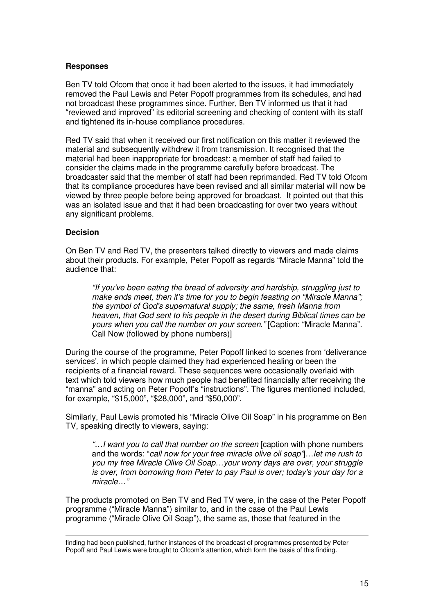#### **Responses**

Ben TV told Ofcom that once it had been alerted to the issues, it had immediately removed the Paul Lewis and Peter Popoff programmes from its schedules, and had not broadcast these programmes since. Further, Ben TV informed us that it had "reviewed and improved" its editorial screening and checking of content with its staff and tightened its in-house compliance procedures.

Red TV said that when it received our first notification on this matter it reviewed the material and subsequently withdrew it from transmission. It recognised that the material had been inappropriate for broadcast: a member of staff had failed to consider the claims made in the programme carefully before broadcast. The broadcaster said that the member of staff had been reprimanded. Red TV told Ofcom that its compliance procedures have been revised and all similar material will now be viewed by three people before being approved for broadcast. It pointed out that this was an isolated issue and that it had been broadcasting for over two years without any significant problems.

#### **Decision**

On Ben TV and Red TV, the presenters talked directly to viewers and made claims about their products. For example, Peter Popoff as regards "Miracle Manna" told the audience that:

*"If you've been eating the bread of adversity and hardship, struggling just to make ends meet, then it's time for you to begin feasting on "Miracle Manna"; the symbol of God's supernatural supply; the same, fresh Manna from heaven, that God sent to his people in the desert during Biblical times can be yours when you call the number on your screen."* [Caption: "Miracle Manna". Call Now (followed by phone numbers)]

During the course of the programme, Peter Popoff linked to scenes from 'deliverance services', in which people claimed they had experienced healing or been the recipients of a financial reward. These sequences were occasionally overlaid with text which told viewers how much people had benefited financially after receiving the "manna" and acting on Peter Popoff's "instructions". The figures mentioned included, for example, "\$15,000", "\$28,000", and "\$50,000".

Similarly, Paul Lewis promoted his "Miracle Olive Oil Soap" in his programme on Ben TV, speaking directly to viewers, saying:

*"…I want you to call that number on the screen* [caption with phone numbers and the words: "*call now for your free miracle olive oil soap"*]…*let me rush to you my free Miracle Olive Oil Soap…your worry days are over, your struggle is over, from borrowing from Peter to pay Paul is over; today's your day for a miracle…"*

The products promoted on Ben TV and Red TV were, in the case of the Peter Popoff programme ("Miracle Manna") similar to, and in the case of the Paul Lewis programme ("Miracle Olive Oil Soap"), the same as, those that featured in the

finding had been published, further instances of the broadcast of programmes presented by Peter Popoff and Paul Lewis were brought to Ofcom's attention, which form the basis of this finding.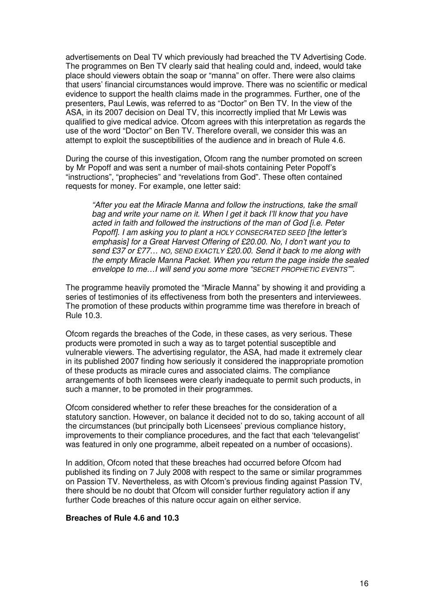advertisements on Deal TV which previously had breached the TV Advertising Code. The programmes on Ben TV clearly said that healing could and, indeed, would take place should viewers obtain the soap or "manna" on offer. There were also claims that users' financial circumstances would improve. There was no scientific or medical evidence to support the health claims made in the programmes. Further, one of the presenters, Paul Lewis, was referred to as "Doctor" on Ben TV. In the view of the ASA, in its 2007 decision on Deal TV, this incorrectly implied that Mr Lewis was qualified to give medical advice. Ofcom agrees with this interpretation as regards the use of the word "Doctor" on Ben TV. Therefore overall, we consider this was an attempt to exploit the susceptibilities of the audience and in breach of Rule 4.6.

During the course of this investigation, Ofcom rang the number promoted on screen by Mr Popoff and was sent a number of mail-shots containing Peter Popoff's "instructions", "prophecies" and "revelations from God". These often contained requests for money. For example, one letter said:

*"After you eat the Miracle Manna and follow the instructions, take the small bag and write your name on it. When I get it back I'll know that you have acted in faith and followed the instructions of the man of God [i.e. Peter Popoff]. I am asking you to plant a HOLY CONSECRATED SEED [the letter's emphasis] for a Great Harvest Offering of £20.00. No, I don't want you to send £37 or £77… NO, SEND EXACTLY £20.00. Send it back to me along with the empty Miracle Manna Packet. When you return the page inside the sealed envelope to me…I will send you some more "SECRET PROPHETIC EVENTS"".*

The programme heavily promoted the "Miracle Manna" by showing it and providing a series of testimonies of its effectiveness from both the presenters and interviewees. The promotion of these products within programme time was therefore in breach of Rule 10.3.

Ofcom regards the breaches of the Code, in these cases, as very serious. These products were promoted in such a way as to target potential susceptible and vulnerable viewers. The advertising regulator, the ASA, had made it extremely clear in its published 2007 finding how seriously it considered the inappropriate promotion of these products as miracle cures and associated claims. The compliance arrangements of both licensees were clearly inadequate to permit such products, in such a manner, to be promoted in their programmes.

Ofcom considered whether to refer these breaches for the consideration of a statutory sanction. However, on balance it decided not to do so, taking account of all the circumstances (but principally both Licensees' previous compliance history, improvements to their compliance procedures, and the fact that each 'televangelist' was featured in only one programme, albeit repeated on a number of occasions).

In addition, Ofcom noted that these breaches had occurred before Ofcom had published its finding on 7 July 2008 with respect to the same or similar programmes on Passion TV. Nevertheless, as with Ofcom's previous finding against Passion TV, there should be no doubt that Ofcom will consider further regulatory action if any further Code breaches of this nature occur again on either service.

#### **Breaches of Rule 4.6 and 10.3**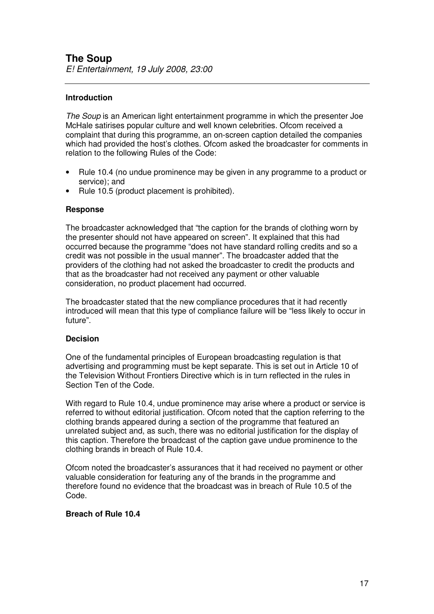*E! Entertainment, 19 July 2008, 23:00*

#### **Introduction**

*The Soup* is an American light entertainment programme in which the presenter Joe McHale satirises popular culture and well known celebrities. Ofcom received a complaint that during this programme, an on-screen caption detailed the companies which had provided the host's clothes. Ofcom asked the broadcaster for comments in relation to the following Rules of the Code:

- Rule 10.4 (no undue prominence may be given in any programme to a product or service); and
- Rule 10.5 (product placement is prohibited).

#### **Response**

The broadcaster acknowledged that "the caption for the brands of clothing worn by the presenter should not have appeared on screen". It explained that this had occurred because the programme "does not have standard rolling credits and so a credit was not possible in the usual manner". The broadcaster added that the providers of the clothing had not asked the broadcaster to credit the products and that as the broadcaster had not received any payment or other valuable consideration, no product placement had occurred.

The broadcaster stated that the new compliance procedures that it had recently introduced will mean that this type of compliance failure will be "less likely to occur in future".

#### **Decision**

One of the fundamental principles of European broadcasting regulation is that advertising and programming must be kept separate. This is set out in Article 10 of the Television Without Frontiers Directive which is in turn reflected in the rules in Section Ten of the Code.

With regard to Rule 10.4, undue prominence may arise where a product or service is referred to without editorial justification. Ofcom noted that the caption referring to the clothing brands appeared during a section of the programme that featured an unrelated subject and, as such, there was no editorial justification for the display of this caption. Therefore the broadcast of the caption gave undue prominence to the clothing brands in breach of Rule 10.4.

Ofcom noted the broadcaster's assurances that it had received no payment or other valuable consideration for featuring any of the brands in the programme and therefore found no evidence that the broadcast was in breach of Rule 10.5 of the Code.

#### **Breach of Rule 10.4**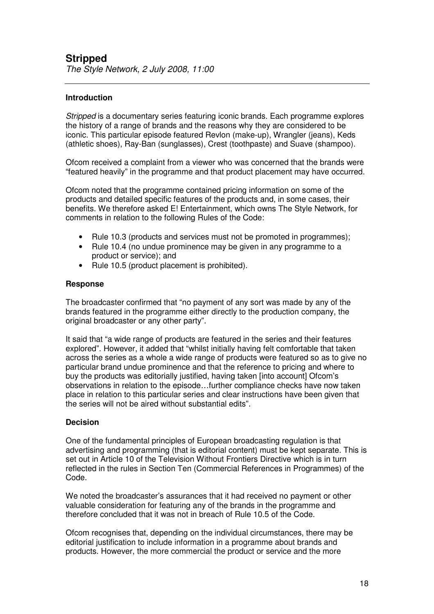*The Style Network, 2 July 2008, 11:00*

#### **Introduction**

*Stripped* is a documentary series featuring iconic brands. Each programme explores the history of a range of brands and the reasons why they are considered to be iconic. This particular episode featured Revlon (make-up), Wrangler (jeans), Keds (athletic shoes), Ray-Ban (sunglasses), Crest (toothpaste) and Suave (shampoo).

Ofcom received a complaint from a viewer who was concerned that the brands were "featured heavily" in the programme and that product placement may have occurred.

Ofcom noted that the programme contained pricing information on some of the products and detailed specific features of the products and, in some cases, their benefits. We therefore asked E! Entertainment, which owns The Style Network, for comments in relation to the following Rules of the Code:

- Rule 10.3 (products and services must not be promoted in programmes);
- Rule 10.4 (no undue prominence may be given in any programme to a product or service); and
- Rule 10.5 (product placement is prohibited).

#### **Response**

The broadcaster confirmed that "no payment of any sort was made by any of the brands featured in the programme either directly to the production company, the original broadcaster or any other party".

It said that "a wide range of products are featured in the series and their features explored". However, it added that "whilst initially having felt comfortable that taken across the series as a whole a wide range of products were featured so as to give no particular brand undue prominence and that the reference to pricing and where to buy the products was editorially justified, having taken [into account] Ofcom's observations in relation to the episode…further compliance checks have now taken place in relation to this particular series and clear instructions have been given that the series will not be aired without substantial edits".

#### **Decision**

One of the fundamental principles of European broadcasting regulation is that advertising and programming (that is editorial content) must be kept separate. This is set out in Article 10 of the Television Without Frontiers Directive which is in turn reflected in the rules in Section Ten (Commercial References in Programmes) of the Code.

We noted the broadcaster's assurances that it had received no payment or other valuable consideration for featuring any of the brands in the programme and therefore concluded that it was not in breach of Rule 10.5 of the Code.

Ofcom recognises that, depending on the individual circumstances, there may be editorial justification to include information in a programme about brands and products. However, the more commercial the product or service and the more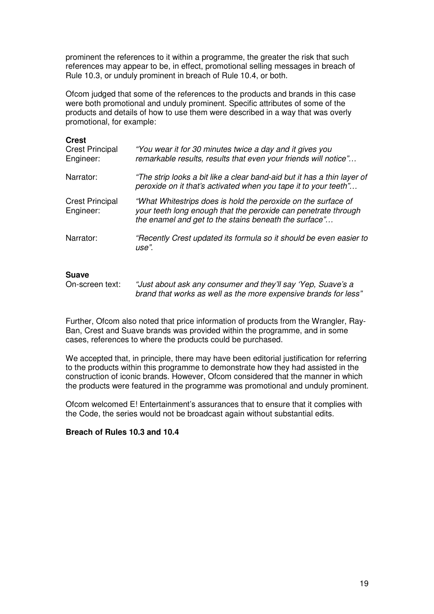prominent the references to it within a programme, the greater the risk that such references may appear to be, in effect, promotional selling messages in breach of Rule 10.3, or unduly prominent in breach of Rule 10.4, or both.

Ofcom judged that some of the references to the products and brands in this case were both promotional and unduly prominent. Specific attributes of some of the products and details of how to use them were described in a way that was overly promotional, for example:

| <b>Crest</b><br><b>Crest Principal</b><br>Engineer: | "You wear it for 30 minutes twice a day and it gives you<br>remarkable results, results that even your friends will notice"                                                              |
|-----------------------------------------------------|------------------------------------------------------------------------------------------------------------------------------------------------------------------------------------------|
| Narrator:                                           | "The strip looks a bit like a clear band-aid but it has a thin layer of<br>peroxide on it that's activated when you tape it to your teeth"                                               |
| <b>Crest Principal</b><br>Engineer:                 | "What Whitestrips does is hold the peroxide on the surface of<br>your teeth long enough that the peroxide can penetrate through<br>the enamel and get to the stains beneath the surface" |
| Narrator:                                           | "Recently Crest updated its formula so it should be even easier to<br>use".                                                                                                              |

#### **Suave**

On-screen text: *"Just about ask any consumer and they'll say 'Yep, Suave's a brand that works as well as the more expensive brands for less"*

Further, Ofcom also noted that price information of products from the Wrangler, Ray-Ban, Crest and Suave brands was provided within the programme, and in some cases, references to where the products could be purchased.

We accepted that, in principle, there may have been editorial justification for referring to the products within this programme to demonstrate how they had assisted in the construction of iconic brands. However, Ofcom considered that the manner in which the products were featured in the programme was promotional and unduly prominent.

Ofcom welcomed E! Entertainment's assurances that to ensure that it complies with the Code, the series would not be broadcast again without substantial edits.

#### **Breach of Rules 10.3 and 10.4**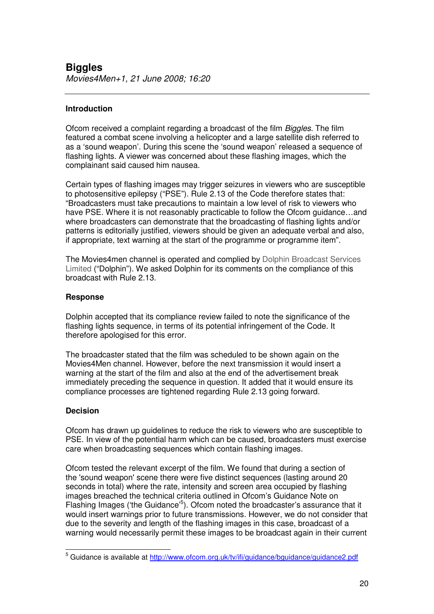#### **Introduction**

Ofcom received a complaint regarding a broadcast of the film *Biggles*. The film featured a combat scene involving a helicopter and a large satellite dish referred to as a 'sound weapon'. During this scene the 'sound weapon' released a sequence of flashing lights. A viewer was concerned about these flashing images, which the complainant said caused him nausea.

Certain types of flashing images may trigger seizures in viewers who are susceptible to photosensitive epilepsy ("PSE"). Rule 2.13 of the Code therefore states that: "Broadcasters must take precautions to maintain a low level of risk to viewers who have PSE. Where it is not reasonably practicable to follow the Ofcom guidance…and where broadcasters can demonstrate that the broadcasting of flashing lights and/or patterns is editorially justified, viewers should be given an adequate verbal and also, if appropriate, text warning at the start of the programme or programme item".

The Movies4men channel is operated and complied by Dolphin Broadcast Services Limited ("Dolphin"). We asked Dolphin for its comments on the compliance of this broadcast with Rule 2.13.

#### **Response**

Dolphin accepted that its compliance review failed to note the significance of the flashing lights sequence, in terms of its potential infringement of the Code. It therefore apologised for this error.

The broadcaster stated that the film was scheduled to be shown again on the Movies4Men channel. However, before the next transmission it would insert a warning at the start of the film and also at the end of the advertisement break immediately preceding the sequence in question. It added that it would ensure its compliance processes are tightened regarding Rule 2.13 going forward.

#### **Decision**

Ofcom has drawn up guidelines to reduce the risk to viewers who are susceptible to PSE. In view of the potential harm which can be caused, broadcasters must exercise care when broadcasting sequences which contain flashing images.

Ofcom tested the relevant excerpt of the film. We found that during a section of the 'sound weapon'scene there were five distinct sequences (lasting around 20 seconds in total) where the rate, intensity and screen area occupied by flashing images breached the technical criteria outlined in Ofcom's Guidance Note on Flashing Images ('the Guidance'<sup>5</sup>). Ofcom noted the broadcaster's assurance that it would insert warnings prior to future transmissions. However, we do not consider that due to the severity and length of the flashing images in this case, broadcast of a warning would necessarily permit these images to be broadcast again in their current

<sup>&</sup>lt;sup>5</sup> Guidance is available at http://www.ofcom.org.uk/tv/ifi/guidance/bquidance/guidance2.pdf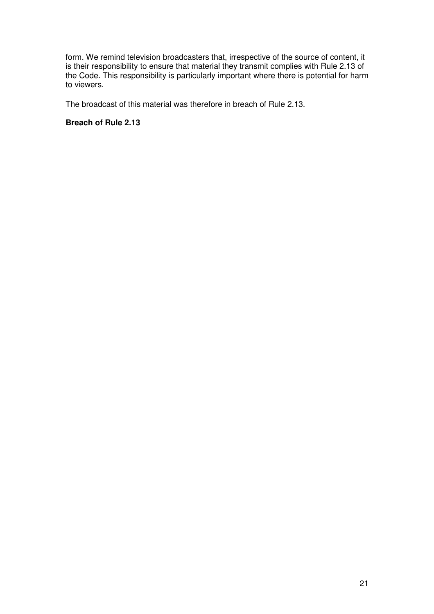form. We remind television broadcasters that, irrespective of the source of content, it is their responsibility to ensure that material they transmit complies with Rule 2.13 of the Code. This responsibility is particularly important where there is potential for harm to viewers.

The broadcast of this material was therefore in breach of Rule 2.13.

#### **Breach of Rule 2.13**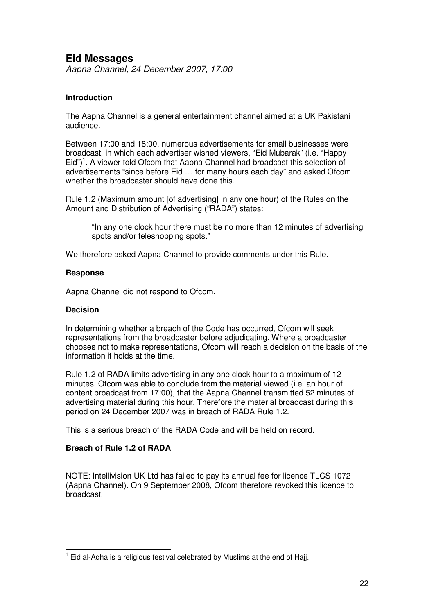#### **Introduction**

The Aapna Channel is a general entertainment channel aimed at a UK Pakistani audience.

Between 17:00 and 18:00, numerous advertisements for small businesses were broadcast, in which each advertiser wished viewers, "Eid Mubarak" (i.e. "Happy Eid")<sup>1</sup>. A viewer told Ofcom that Aapna Channel had broadcast this selection of advertisements "since before Eid … for many hours each day" and asked Ofcom whether the broadcaster should have done this.

Rule 1.2 (Maximum amount [of advertising] in any one hour) of the Rules on the Amount and Distribution of Advertising ("RADA") states:

"In any one clock hour there must be no more than 12 minutes of advertising spots and/or teleshopping spots."

We therefore asked Aapna Channel to provide comments under this Rule.

#### **Response**

Aapna Channel did not respond to Ofcom.

#### **Decision**

In determining whether a breach of the Code has occurred, Ofcom will seek representations from the broadcaster before adjudicating. Where a broadcaster chooses not to make representations, Ofcom will reach a decision on the basis of the information it holds at the time.

Rule 1.2 of RADA limits advertising in any one clock hour to a maximum of 12 minutes. Ofcom was able to conclude from the material viewed (i.e. an hour of content broadcast from 17:00), that the Aapna Channel transmitted 52 minutes of advertising material during this hour. Therefore the material broadcast during this period on 24 December 2007 was in breach of RADA Rule 1.2.

This is a serious breach of the RADA Code and will be held on record.

#### **Breach of Rule 1.2 of RADA**

NOTE: Intellivision UK Ltd has failed to pay its annual fee for licence TLCS 1072 (Aapna Channel). On 9 September 2008, Ofcom therefore revoked this licence to broadcast.

 $1$  Eid al-Adha is a religious festival celebrated by Muslims at the end of Hajj.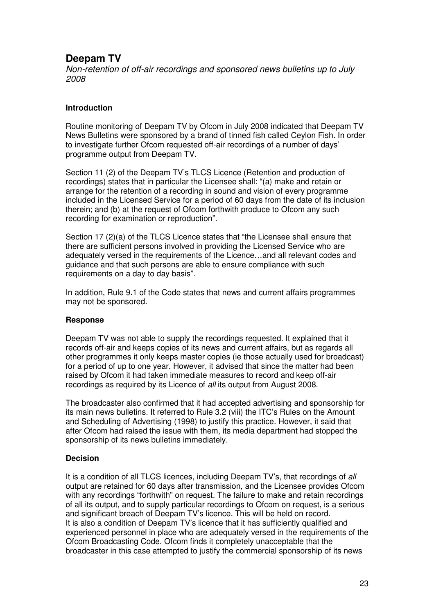# **Deepam TV**

*Non-retention of off-air recordings and sponsored news bulletins up to July 2008*

#### **Introduction**

Routine monitoring of Deepam TV by Ofcom in July 2008 indicated that Deepam TV News Bulletins were sponsored by a brand of tinned fish called Ceylon Fish. In order to investigate further Ofcom requested off-air recordings of a number of days' programme output from Deepam TV.

Section 11 (2) of the Deepam TV's TLCS Licence (Retention and production of recordings) states that in particular the Licensee shall: "(a) make and retain or arrange for the retention of a recording in sound and vision of every programme included in the Licensed Service for a period of 60 days from the date of its inclusion therein; and (b) at the request of Ofcom forthwith produce to Ofcom any such recording for examination or reproduction".

Section 17 (2)(a) of the TLCS Licence states that "the Licensee shall ensure that there are sufficient persons involved in providing the Licensed Service who are adequately versed in the requirements of the Licence…and all relevant codes and guidance and that such persons are able to ensure compliance with such requirements on a day to day basis".

In addition, Rule 9.1 of the Code states that news and current affairs programmes may not be sponsored.

#### **Response**

Deepam TV was not able to supply the recordings requested. It explained that it records off-air and keeps copies of its news and current affairs, but as regards all other programmes it only keeps master copies (ie those actually used for broadcast) for a period of up to one year. However, it advised that since the matter had been raised by Ofcom it had taken immediate measures to record and keep off-air recordings as required by its Licence of *all* its output from August 2008.

The broadcaster also confirmed that it had accepted advertising and sponsorship for its main news bulletins. It referred to Rule 3.2 (viii) the ITC's Rules on the Amount and Scheduling of Advertising (1998) to justify this practice. However, it said that after Ofcom had raised the issue with them, its media department had stopped the sponsorship of its news bulletins immediately.

#### **Decision**

It is a condition of all TLCS licences, including Deepam TV's, that recordings of *all* output are retained for 60 days after transmission, and the Licensee provides Ofcom with any recordings "forthwith" on request. The failure to make and retain recordings of all its output, and to supply particular recordings to Ofcom on request, is a serious and significant breach of Deepam TV's licence. This will be held on record. It is also a condition of Deepam TV's licence that it has sufficiently qualified and experienced personnel in place who are adequately versed in the requirements of the Ofcom Broadcasting Code. Ofcom finds it completely unacceptable that the broadcaster in this case attempted to justify the commercial sponsorship of its news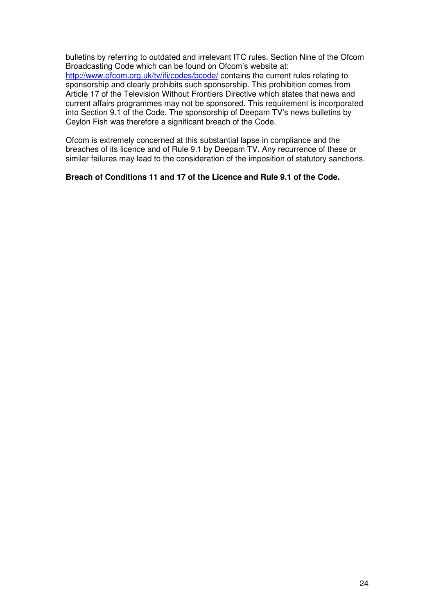bulletins by referring to outdated and irrelevant ITC rules. Section Nine of the Ofcom Broadcasting Code which can be found on Ofcom's website at: http://www.ofcom.org.uk/tv/ifi/codes/bcode/ contains the current rules relating to sponsorship and clearly prohibits such sponsorship. This prohibition comes from Article 17 of the Television Without Frontiers Directive which states that news and current affairs programmes may not be sponsored. This requirement is incorporated into Section 9.1 of the Code. The sponsorship of Deepam TV's news bulletins by Ceylon Fish was therefore a significant breach of the Code.

Ofcom is extremely concerned at this substantial lapse in compliance and the breaches of its licence and of Rule 9.1 by Deepam TV. Any recurrence of these or similar failures may lead to the consideration of the imposition of statutory sanctions.

#### **Breach of Conditions 11 and 17 of the Licence and Rule 9.1 of the Code.**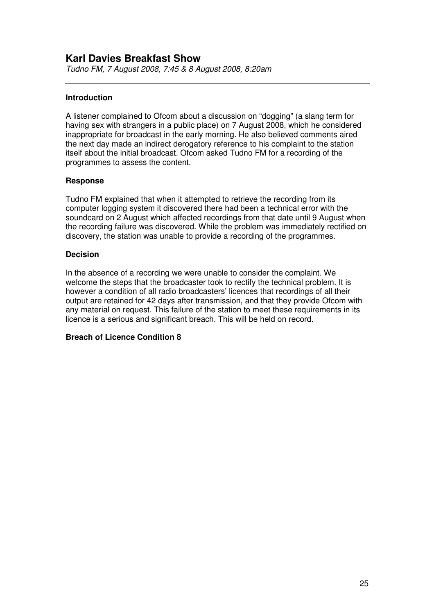# **Karl Davies Breakfast Show**

*Tudno FM, 7 August 2008, 7:45 & 8 August 2008, 8:20am*

#### **Introduction**

A listener complained to Ofcom about a discussion on "dogging" (a slang term for having sex with strangers in a public place) on 7 August 2008, which he considered inappropriate for broadcast in the early morning. He also believed comments aired the next day made an indirect derogatory reference to his complaint to the station itself about the initial broadcast. Ofcom asked Tudno FM for a recording of the programmes to assess the content.

#### **Response**

Tudno FM explained that when it attempted to retrieve the recording from its computer logging system it discovered there had been a technical error with the soundcard on 2 August which affected recordings from that date until 9 August when the recording failure was discovered. While the problem was immediately rectified on discovery, the station was unable to provide a recording of the programmes.

#### **Decision**

In the absence of a recording we were unable to consider the complaint. We welcome the steps that the broadcaster took to rectify the technical problem. It is however a condition of all radio broadcasters' licences that recordings of all their output are retained for 42 days after transmission, and that they provide Ofcom with any material on request. This failure of the station to meet these requirements in its licence is a serious and significant breach. This will be held on record.

#### **Breach of Licence Condition 8**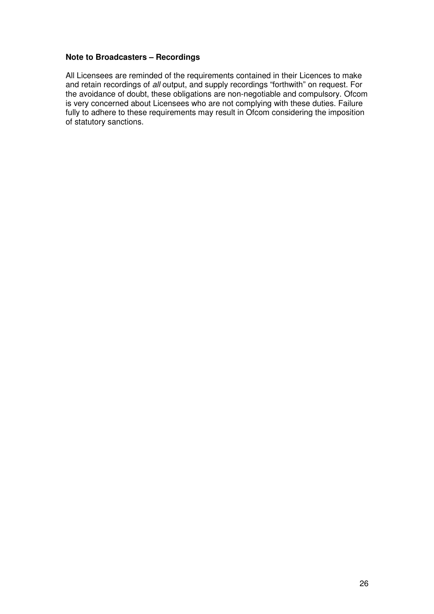#### **Note to Broadcasters – Recordings**

All Licensees are reminded of the requirements contained in their Licences to make and retain recordings of *all* output, and supply recordings "forthwith" on request. For the avoidance of doubt, these obligations are non-negotiable and compulsory. Ofcom is very concerned about Licensees who are not complying with these duties. Failure fully to adhere to these requirements may result in Ofcom considering the imposition of statutory sanctions.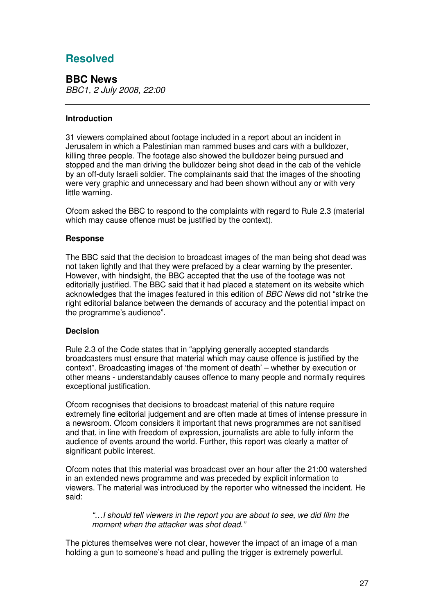# **Resolved**

**BBC News** *BBC1, 2 July 2008, 22:00*

#### **Introduction**

31 viewers complained about footage included in a report about an incident in Jerusalem in which a Palestinian man rammed buses and cars with a bulldozer, killing three people. The footage also showed the bulldozer being pursued and stopped and the man driving the bulldozer being shot dead in the cab of the vehicle by an off-duty Israeli soldier. The complainants said that the images of the shooting were very graphic and unnecessary and had been shown without any or with very little warning.

Ofcom asked the BBC to respond to the complaints with regard to Rule 2.3 (material which may cause offence must be justified by the context).

#### **Response**

The BBC said that the decision to broadcast images of the man being shot dead was not taken lightly and that they were prefaced by a clear warning by the presenter. However, with hindsight, the BBC accepted that the use of the footage was not editorially justified. The BBC said that it had placed a statement on its website which acknowledges that the images featured in this edition of *BBC News* did not "strike the right editorial balance between the demands of accuracy and the potential impact on the programme's audience".

#### **Decision**

Rule 2.3 of the Code states that in "applying generally accepted standards broadcasters must ensure that material which may cause offence is justified by the context". Broadcasting images of 'the moment of death' – whether by execution or other means - understandably causes offence to many people and normally requires exceptional justification.

Ofcom recognises that decisions to broadcast material of this nature require extremely fine editorial judgement and are often made at times of intense pressure in a newsroom. Ofcom considers it important that news programmes are not sanitised and that, in line with freedom of expression, journalists are able to fully inform the audience of events around the world. Further, this report was clearly a matter of significant public interest.

Ofcom notes that this material was broadcast over an hour after the 21:00 watershed in an extended news programme and was preceded by explicit information to viewers. The material was introduced by the reporter who witnessed the incident. He said:

*"…I should tell viewers in the report you are about to see, we did film the moment when the attacker was shot dead."*

The pictures themselves were not clear, however the impact of an image of a man holding a gun to someone's head and pulling the trigger is extremely powerful.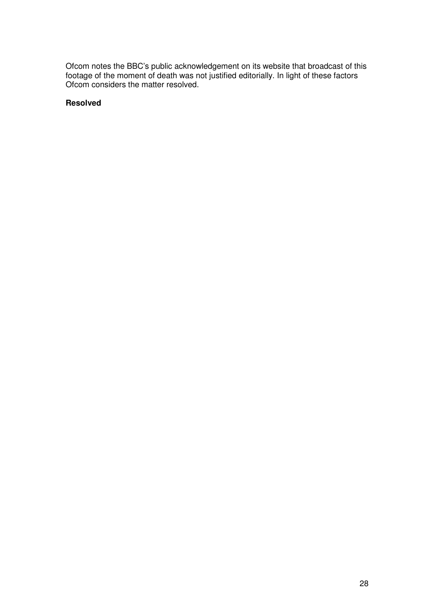Ofcom notes the BBC's public acknowledgement on its website that broadcast of this footage of the moment of death was not justified editorially. In light of these factors Ofcom considers the matter resolved.

#### **Resolved**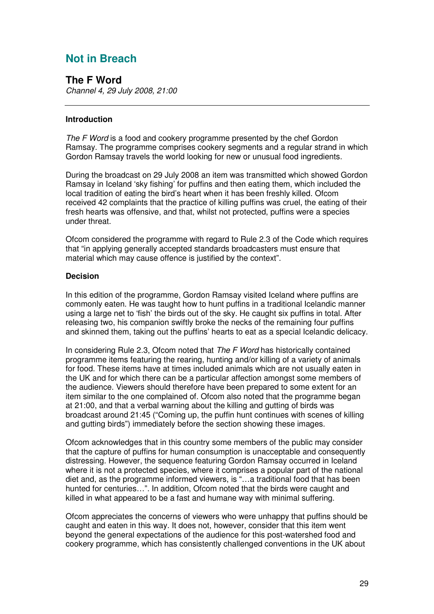# **Not in Breach**

**The F Word** *Channel 4, 29 July 2008, 21:00*

#### **Introduction**

*The F Word* is a food and cookery programme presented by the chef Gordon Ramsay. The programme comprises cookery segments and a regular strand in which Gordon Ramsay travels the world looking for new or unusual food ingredients.

During the broadcast on 29 July 2008 an item was transmitted which showed Gordon Ramsay in Iceland 'sky fishing' for puffins and then eating them, which included the local tradition of eating the bird's heart when it has been freshly killed. Ofcom received 42 complaints that the practice of killing puffins was cruel, the eating of their fresh hearts was offensive, and that, whilst not protected, puffins were a species under threat.

Ofcom considered the programme with regard to Rule 2.3 of the Code which requires that "in applying generally accepted standards broadcasters must ensure that material which may cause offence is justified by the context".

#### **Decision**

In this edition of the programme, Gordon Ramsay visited Iceland where puffins are commonly eaten. He was taught how to hunt puffins in a traditional Icelandic manner using a large net to 'fish' the birds out of the sky. He caught six puffins in total. After releasing two, his companion swiftly broke the necks of the remaining four puffins and skinned them, taking out the puffins' hearts to eat as a special Icelandic delicacy.

In considering Rule 2.3, Ofcom noted that *The F Word* has historically contained programme items featuring the rearing, hunting and/or killing of a variety of animals for food. These items have at times included animals which are not usually eaten in the UK and for which there can be a particular affection amongst some members of the audience. Viewers should therefore have been prepared to some extent for an item similar to the one complained of. Ofcom also noted that the programme began at 21:00, and that a verbal warning about the killing and gutting of birds was broadcast around 21:45 ("Coming up, the puffin hunt continues with scenes of killing and gutting birds") immediately before the section showing these images.

Ofcom acknowledges that in this country some members of the public may consider that the capture of puffins for human consumption is unacceptable and consequently distressing. However, the sequence featuring Gordon Ramsay occurred in Iceland where it is not a protected species, where it comprises a popular part of the national diet and, as the programme informed viewers, is "…a traditional food that has been hunted for centuries…". In addition, Ofcom noted that the birds were caught and killed in what appeared to be a fast and humane way with minimal suffering.

Ofcom appreciates the concerns of viewers who were unhappy that puffins should be caught and eaten in this way. It does not, however, consider that this item went beyond the general expectations of the audience for this post-watershed food and cookery programme, which has consistently challenged conventions in the UK about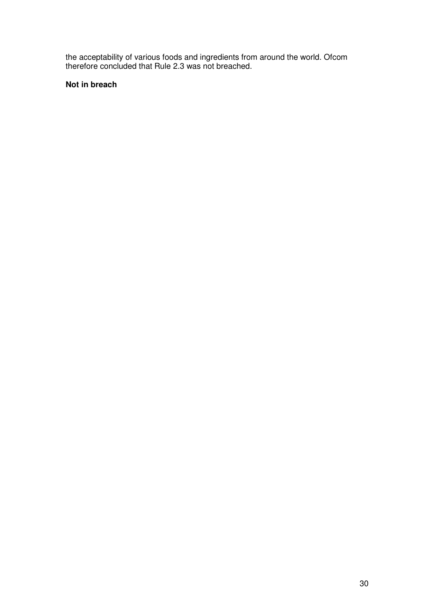the acceptability of various foods and ingredients from around the world. Ofcom therefore concluded that Rule 2.3 was not breached.

#### **Not in breach**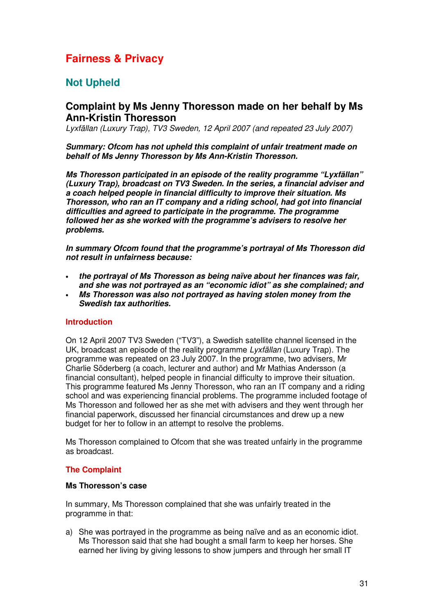# **Fairness & Privacy**

# **Not Upheld**

## **Complaint by Ms Jenny Thoresson made on her behalf by Ms Ann-Kristin Thoresson**

*Lyxfällan (Luxury Trap), TV3 Sweden, 12 April 2007 (and repeated 23 July 2007)*

*Summary: Ofcom has not upheld this complaint of unfair treatment made on behalf of Ms Jenny Thoresson by Ms Ann-Kristin Thoresson.*

*Ms Thoresson participated in an episode of the reality programme "Lyxfällan" (Luxury Trap), broadcast on TV3 Sweden. In the series, a financial adviser and a coach helped people in financial difficulty to improve their situation. Ms Thoresson, who ran an IT company and a riding school, had got into financial difficulties and agreed to participate in the programme. The programme followed her as she worked with the programme's advisers to resolve her problems.*

*In summary Ofcom found that the programme's portrayal of Ms Thoresson did not result in unfairness because:*

- *the portrayal of Ms Thoresson as being naïve about her finances was fair, and she was not portrayed as an "economic idiot" as she complained; and* • *Ms Thoresson was also not portrayed as having stolen money from the*
- *Swedish tax authorities.*

#### **Introduction**

On 12 April 2007 TV3 Sweden ("TV3"), a Swedish satellite channel licensed in the UK, broadcast an episode of the reality programme *Lyxfällan* (Luxury Trap). The programme was repeated on 23 July 2007. In the programme, two advisers, Mr Charlie Söderberg (a coach, lecturer and author) and Mr Mathias Andersson (a financial consultant), helped people in financial difficulty to improve their situation. This programme featured Ms Jenny Thoresson, who ran an IT company and a riding school and was experiencing financial problems. The programme included footage of Ms Thoresson and followed her as she met with advisers and they went through her financial paperwork, discussed her financial circumstances and drew up a new budget for her to follow in an attempt to resolve the problems.

Ms Thoresson complained to Ofcom that she was treated unfairly in the programme as broadcast.

#### **The Complaint**

#### **Ms Thoresson's case**

In summary, Ms Thoresson complained that she was unfairly treated in the programme in that:

a) She was portrayed in the programme as being naïve and as an economic idiot. Ms Thoresson said that she had bought a small farm to keep her horses. She earned her living by giving lessons to show jumpers and through her small IT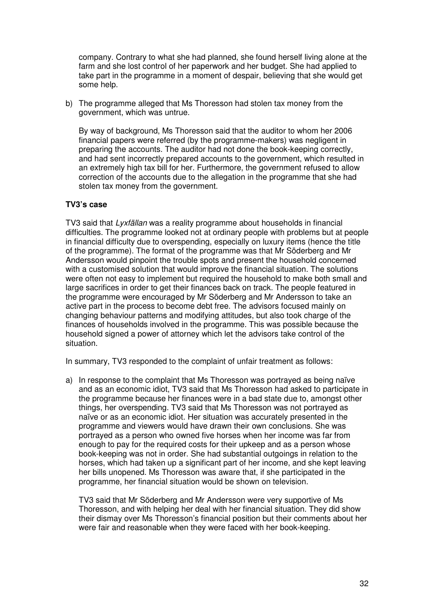company. Contrary to what she had planned, she found herself living alone at the farm and she lost control of her paperwork and her budget. She had applied to take part in the programme in a moment of despair, believing that she would get some help.

b) The programme alleged that Ms Thoresson had stolen tax money from the government, which was untrue.

By way of background, Ms Thoresson said that the auditor to whom her 2006 financial papers were referred (by the programme-makers) was negligent in preparing the accounts. The auditor had not done the book-keeping correctly, and had sent incorrectly prepared accounts to the government, which resulted in an extremely high tax bill for her. Furthermore, the government refused to allow correction of the accounts due to the allegation in the programme that she had stolen tax money from the government.

#### **TV3's case**

TV3 said that *Lyxfällan* was a reality programme about households in financial difficulties. The programme looked not at ordinary people with problems but at people in financial difficulty due to overspending, especially on luxury items (hence the title of the programme). The format of the programme was that Mr Söderberg and Mr Andersson would pinpoint the trouble spots and present the household concerned with a customised solution that would improve the financial situation. The solutions were often not easy to implement but required the household to make both small and large sacrifices in order to get their finances back on track. The people featured in the programme were encouraged by Mr Söderberg and Mr Andersson to take an active part in the process to become debt free. The advisors focused mainly on changing behaviour patterns and modifying attitudes, but also took charge of the finances of households involved in the programme. This was possible because the household signed a power of attorney which let the advisors take control of the situation.

In summary, TV3 responded to the complaint of unfair treatment as follows:

a) In response to the complaint that Ms Thoresson was portrayed as being naïve and as an economic idiot, TV3 said that Ms Thoresson had asked to participate in the programme because her finances were in a bad state due to, amongst other things, her overspending. TV3 said that Ms Thoresson was not portrayed as naïve or as an economic idiot. Her situation was accurately presented in the programme and viewers would have drawn their own conclusions. She was portrayed as a person who owned five horses when her income was far from enough to pay for the required costs for their upkeep and as a person whose book-keeping was not in order. She had substantial outgoings in relation to the horses, which had taken up a significant part of her income, and she kept leaving her bills unopened. Ms Thoresson was aware that, if she participated in the programme, her financial situation would be shown on television.

TV3 said that Mr Söderberg and Mr Andersson were very supportive of Ms Thoresson, and with helping her deal with her financial situation. They did show their dismay over Ms Thoresson's financial position but their comments about her were fair and reasonable when they were faced with her book-keeping.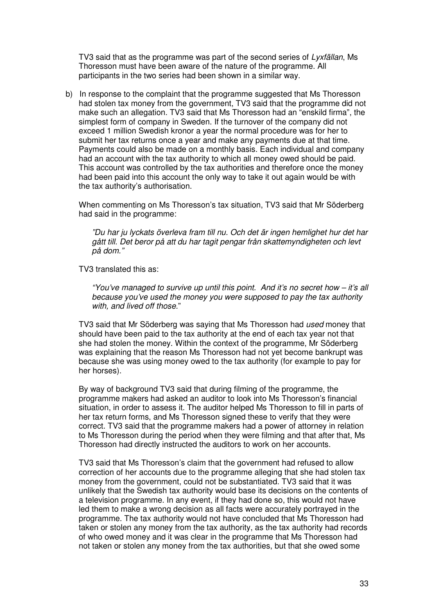TV3 said that as the programme was part of the second series of *Lyxfällan*, Ms Thoresson must have been aware of the nature of the programme. All participants in the two series had been shown in a similar way.

b) In response to the complaint that the programme suggested that Ms Thoresson had stolen tax money from the government, TV3 said that the programme did not make such an allegation. TV3 said that Ms Thoresson had an "enskild firma", the simplest form of company in Sweden. If the turnover of the company did not exceed 1 million Swedish kronor a year the normal procedure was for her to submit her tax returns once a year and make any payments due at that time. Payments could also be made on a monthly basis. Each individual and company had an account with the tax authority to which all money owed should be paid. This account was controlled by the tax authorities and therefore once the money had been paid into this account the only way to take it out again would be with the tax authority's authorisation.

When commenting on Ms Thoresson's tax situation, TV3 said that Mr Söderberg had said in the programme:

*"Du har ju lyckats överleva fram till nu. Och det är ingen hemlighet hur det har gått till. Det beror på att du har tagit pengar från skattemyndigheten och levt på dom."*

TV3 translated this as:

*"You've managed to survive up until this point. And it's no secret how – it's all because you've used the money you were supposed to pay the tax authority with, and lived off those.*"

TV3 said that Mr Söderberg was saying that Ms Thoresson had *used* money that should have been paid to the tax authority at the end of each tax year not that she had stolen the money. Within the context of the programme, Mr Söderberg was explaining that the reason Ms Thoresson had not yet become bankrupt was because she was using money owed to the tax authority (for example to pay for her horses).

By way of background TV3 said that during filming of the programme, the programme makers had asked an auditor to look into Ms Thoresson's financial situation, in order to assess it. The auditor helped Ms Thoresson to fill in parts of her tax return forms, and Ms Thoresson signed these to verify that they were correct. TV3 said that the programme makers had a power of attorney in relation to Ms Thoresson during the period when they were filming and that after that, Ms Thoresson had directly instructed the auditors to work on her accounts.

TV3 said that Ms Thoresson's claim that the government had refused to allow correction of her accounts due to the programme alleging that she had stolen tax money from the government, could not be substantiated. TV3 said that it was unlikely that the Swedish tax authority would base its decisions on the contents of a television programme. In any event, if they had done so, this would not have led them to make a wrong decision as all facts were accurately portrayed in the programme. The tax authority would not have concluded that Ms Thoresson had taken or stolen any money from the tax authority, as the tax authority had records of who owed money and it was clear in the programme that Ms Thoresson had not taken or stolen any money from the tax authorities, but that she owed some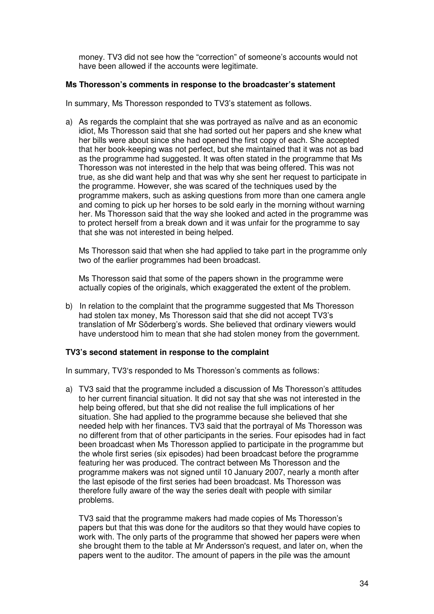money. TV3 did not see how the "correction" of someone's accounts would not have been allowed if the accounts were legitimate.

#### **Ms Thoresson's comments in response to the broadcaster's statement**

In summary, Ms Thoresson responded to TV3's statement as follows.

a) As regards the complaint that she was portrayed as naïve and as an economic idiot, Ms Thoresson said that she had sorted out her papers and she knew what her bills were about since she had opened the first copy of each. She accepted that her book-keeping was not perfect, but she maintained that it was not as bad as the programme had suggested. It was often stated in the programme that Ms Thoresson was not interested in the help that was being offered. This was not true, as she did want help and that was why she sent her request to participate in the programme. However, she was scared of the techniques used by the programme makers, such as asking questions from more than one camera angle and coming to pick up her horses to be sold early in the morning without warning her. Ms Thoresson said that the way she looked and acted in the programme was to protect herself from a break down and it was unfair for the programme to say that she was not interested in being helped.

Ms Thoresson said that when she had applied to take part in the programme only two of the earlier programmes had been broadcast.

Ms Thoresson said that some of the papers shown in the programme were actually copies of the originals, which exaggerated the extent of the problem.

b) In relation to the complaint that the programme suggested that Ms Thoresson had stolen tax money, Ms Thoresson said that she did not accept TV3's translation of Mr Söderberg's words. She believed that ordinary viewers would have understood him to mean that she had stolen money from the government.

#### **TV3's second statement in response to the complaint**

In summary, TV3's responded to Ms Thoresson's comments as follows:

a) TV3 said that the programme included a discussion of Ms Thoresson's attitudes to her current financial situation. It did not say that she was not interested in the help being offered, but that she did not realise the full implications of her situation. She had applied to the programme because she believed that she needed help with her finances. TV3 said that the portrayal of Ms Thoresson was no different from that of other participants in the series. Four episodes had in fact been broadcast when Ms Thoresson applied to participate in the programme but the whole first series (six episodes) had been broadcast before the programme featuring her was produced. The contract between Ms Thoresson and the programme makers was not signed until 10 January 2007, nearly a month after the last episode of the first series had been broadcast. Ms Thoresson was therefore fully aware of the way the series dealt with people with similar problems.

TV3 said that the programme makers had made copies of Ms Thoresson's papers but that this was done for the auditors so that they would have copies to work with. The only parts of the programme that showed her papers were when she brought them to the table at Mr Andersson's request, and later on, when the papers went to the auditor. The amount of papers in the pile was the amount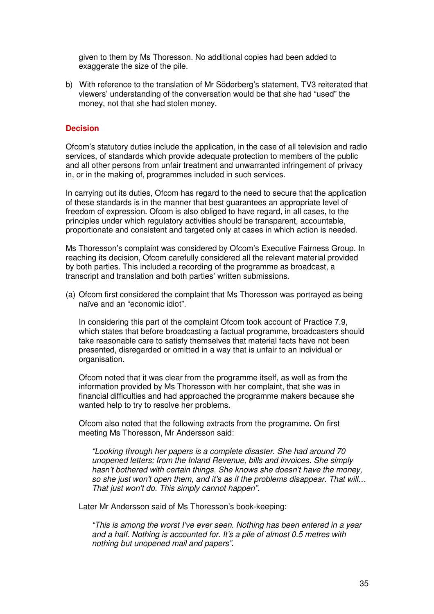given to them by Ms Thoresson. No additional copies had been added to exaggerate the size of the pile.

b) With reference to the translation of Mr Söderberg's statement, TV3 reiterated that viewers' understanding of the conversation would be that she had "used" the money, not that she had stolen money.

#### **Decision**

Ofcom's statutory duties include the application, in the case of all television and radio services, of standards which provide adequate protection to members of the public and all other persons from unfair treatment and unwarranted infringement of privacy in, or in the making of, programmes included in such services.

In carrying out its duties, Ofcom has regard to the need to secure that the application of these standards is in the manner that best guarantees an appropriate level of freedom of expression. Ofcom is also obliged to have regard, in all cases, to the principles under which regulatory activities should be transparent, accountable, proportionate and consistent and targeted only at cases in which action is needed.

Ms Thoresson's complaint was considered by Ofcom's Executive Fairness Group. In reaching its decision, Ofcom carefully considered all the relevant material provided by both parties. This included a recording of the programme as broadcast, a transcript and translation and both parties' written submissions.

(a) Ofcom first considered the complaint that Ms Thoresson was portrayed as being naïve and an "economic idiot".

In considering this part of the complaint Ofcom took account of Practice 7.9, which states that before broadcasting a factual programme, broadcasters should take reasonable care to satisfy themselves that material facts have not been presented, disregarded or omitted in a way that is unfair to an individual or organisation.

Ofcom noted that it was clear from the programme itself, as well as from the information provided by Ms Thoresson with her complaint, that she was in financial difficulties and had approached the programme makers because she wanted help to try to resolve her problems.

Ofcom also noted that the following extracts from the programme. On first meeting Ms Thoresson, Mr Andersson said:

*"Looking through her papers is a complete disaster. She had around 70 unopened letters; from the Inland Revenue, bills and invoices. She simply hasn't bothered with certain things. She knows she doesn't have the money, so she just won't open them, and it's as if the problems disappear. That will… That just won't do. This simply cannot happen".*

Later Mr Andersson said of Ms Thoresson's book-keeping:

*"This is among the worst I've ever seen. Nothing has been entered in a year and a half. Nothing is accounted for. It's a pile of almost 0.5 metres with nothing but unopened mail and papers".*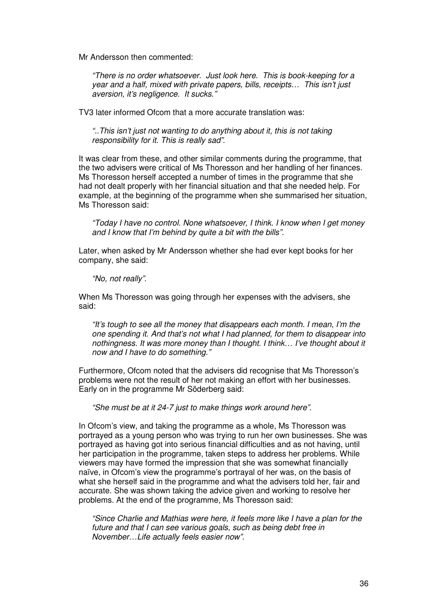Mr Andersson then commented:

*"There is no order whatsoever. Just look here. This is book-keeping for a year and a half, mixed with private papers, bills, receipts… This isn't just aversion, it's negligence. It sucks."*

TV3 later informed Ofcom that a more accurate translation was:

*"..This isn't just not wanting to do anything about it, this is not taking responsibility for it. This is really sad"*.

It was clear from these, and other similar comments during the programme, that the two advisers were critical of Ms Thoresson and her handling of her finances. Ms Thoresson herself accepted a number of times in the programme that she had not dealt properly with her financial situation and that she needed help. For example, at the beginning of the programme when she summarised her situation, Ms Thoresson said:

*"Today I have no control. None whatsoever, I think. I know when I get money and I know that I'm behind by quite a bit with the bills".*

Later, when asked by Mr Andersson whether she had ever kept books for her company, she said:

*"No, not really"*.

When Ms Thoresson was going through her expenses with the advisers, she said:

*"It's tough to see all the money that disappears each month. I mean, I'm the one spending it. And that's not what I had planned, for them to disappear into nothingness. It was more money than I thought. I think… I've thought about it now and I have to do something."*

Furthermore, Ofcom noted that the advisers did recognise that Ms Thoresson's problems were not the result of her not making an effort with her businesses. Early on in the programme Mr Söderberg said:

*"She must be at it 24-7 just to make things work around here".*

In Ofcom's view, and taking the programme as a whole, Ms Thoresson was portrayed as a young person who was trying to run her own businesses. She was portrayed as having got into serious financial difficulties and as not having, until her participation in the programme, taken steps to address her problems. While viewers may have formed the impression that she was somewhat financially naïve, in Ofcom's view the programme's portrayal of her was, on the basis of what she herself said in the programme and what the advisers told her, fair and accurate. She was shown taking the advice given and working to resolve her problems. At the end of the programme, Ms Thoresson said:

*"Since Charlie and Mathias were here, it feels more like I have a plan for the future and that I can see various goals, such as being debt free in November…Life actually feels easier now".*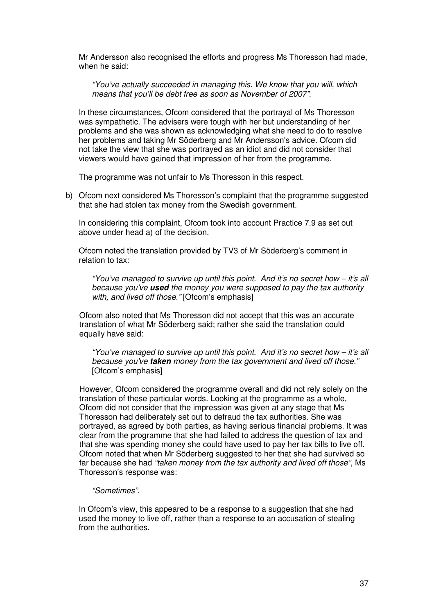Mr Andersson also recognised the efforts and progress Ms Thoresson had made, when he said:

*"You've actually succeeded in managing this. We know that you will, which means that you'll be debt free as soon as November of 2007".*

In these circumstances, Ofcom considered that the portrayal of Ms Thoresson was sympathetic. The advisers were tough with her but understanding of her problems and she was shown as acknowledging what she need to do to resolve her problems and taking Mr Söderberg and Mr Andersson's advice. Ofcom did not take the view that she was portrayed as an idiot and did not consider that viewers would have gained that impression of her from the programme.

The programme was not unfair to Ms Thoresson in this respect.

b) Ofcom next considered Ms Thoresson's complaint that the programme suggested that she had stolen tax money from the Swedish government.

In considering this complaint, Ofcom took into account Practice 7.9 as set out above under head a) of the decision.

Ofcom noted the translation provided by TV3 of Mr Söderberg's comment in relation to tax:

*"You've managed to survive up until this point. And it's no secret how – it's all because you've used the money you were supposed to pay the tax authority with, and lived off those."* [Ofcom's emphasis]

Ofcom also noted that Ms Thoresson did not accept that this was an accurate translation of what Mr Söderberg said; rather she said the translation could equally have said:

*"You've managed to survive up until this point. And it's no secret how – it's all because you've taken money from the tax government and lived off those."* [Ofcom's emphasis]

However, Ofcom considered the programme overall and did not rely solely on the translation of these particular words. Looking at the programme as a whole, Ofcom did not consider that the impression was given at any stage that Ms Thoresson had deliberately set out to defraud the tax authorities. She was portrayed, as agreed by both parties, as having serious financial problems. It was clear from the programme that she had failed to address the question of tax and that she was spending money she could have used to pay her tax bills to live off. Ofcom noted that when Mr Söderberg suggested to her that she had survived so far because she had *"taken money from the tax authority and lived off those"*, Ms Thoresson's response was:

#### *"Sometimes"*.

In Ofcom's view, this appeared to be a response to a suggestion that she had used the money to live off, rather than a response to an accusation of stealing from the authorities.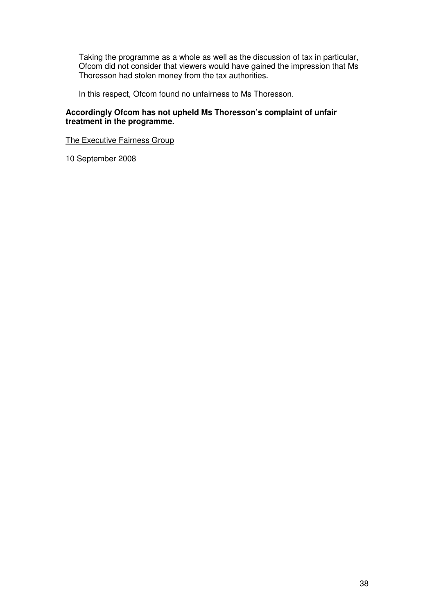Taking the programme as a whole as well as the discussion of tax in particular, Ofcom did not consider that viewers would have gained the impression that Ms Thoresson had stolen money from the tax authorities.

In this respect, Ofcom found no unfairness to Ms Thoresson.

#### **Accordingly Ofcom has not upheld Ms Thoresson's complaint of unfair treatment in the programme.**

The Executive Fairness Group

10 September 2008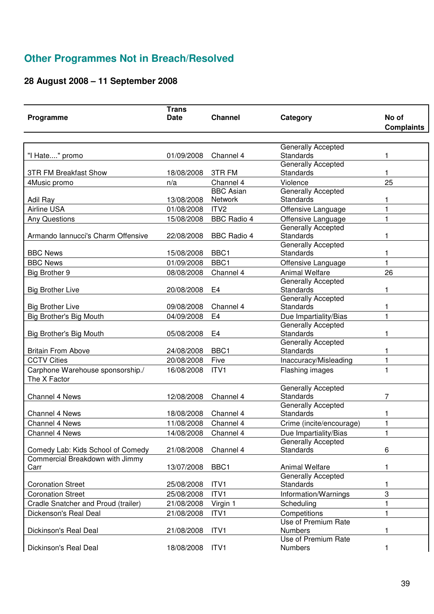# **Other Programmes Not in Breach/Resolved**

# **28 August 2008 – 11 September 2008**

| Programme                           | <b>Trans</b><br><b>Date</b> | <b>Channel</b>              | Category                                 | No of             |
|-------------------------------------|-----------------------------|-----------------------------|------------------------------------------|-------------------|
|                                     |                             |                             |                                          | <b>Complaints</b> |
|                                     |                             |                             |                                          |                   |
|                                     |                             |                             | Generally Accepted                       |                   |
| "I Hate" promo                      | 01/09/2008                  | Channel 4                   | Standards                                |                   |
|                                     |                             |                             | Generally Accepted                       |                   |
| <b>3TR FM Breakfast Show</b>        | 18/08/2008                  | 3TR FM                      | Standards                                | 1                 |
| 4Music promo                        | n/a                         | Channel 4                   | Violence                                 | 25                |
|                                     | 13/08/2008                  | <b>BBC Asian</b><br>Network | <b>Generally Accepted</b><br>Standards   |                   |
| Adil Ray<br><b>Airline USA</b>      |                             | ITV <sub>2</sub>            |                                          | 1<br>$\mathbf{1}$ |
|                                     | 01/08/2008                  |                             | Offensive Language                       |                   |
| <b>Any Questions</b>                | 15/08/2008                  | <b>BBC Radio 4</b>          | Offensive Language<br>Generally Accepted | 1                 |
| Armando Iannucci's Charm Offensive  | 22/08/2008                  | <b>BBC Radio 4</b>          | Standards                                | 1                 |
|                                     |                             |                             | Generally Accepted                       |                   |
| <b>BBC News</b>                     | 15/08/2008                  | BBC <sub>1</sub>            | <b>Standards</b>                         | 1                 |
| <b>BBC News</b>                     | 01/09/2008                  | BBC <sub>1</sub>            | Offensive Language                       | 1                 |
| Big Brother 9                       | 08/08/2008                  | Channel 4                   | <b>Animal Welfare</b>                    | 26                |
|                                     |                             |                             | <b>Generally Accepted</b>                |                   |
| <b>Big Brother Live</b>             | 20/08/2008                  | E4                          | Standards                                | 1                 |
|                                     |                             |                             | Generally Accepted                       |                   |
| <b>Big Brother Live</b>             | 09/08/2008                  | Channel 4                   | Standards                                | 1                 |
| Big Brother's Big Mouth             | 04/09/2008                  | E <sub>4</sub>              | Due Impartiality/Bias                    | 1                 |
|                                     |                             |                             | Generally Accepted                       |                   |
| Big Brother's Big Mouth             | 05/08/2008                  | E <sub>4</sub>              | Standards                                | 1                 |
|                                     |                             |                             | Generally Accepted                       |                   |
| <b>Britain From Above</b>           | 24/08/2008                  | BBC1                        | Standards                                | 1                 |
| <b>CCTV Cities</b>                  | 20/08/2008                  | Five                        | Inaccuracy/Misleading                    | 1                 |
| Carphone Warehouse sponsorship./    | 16/08/2008                  | ITV1                        | Flashing images                          |                   |
| The X Factor                        |                             |                             |                                          |                   |
| Channel 4 News                      | 12/08/2008                  | Channel 4                   | Generally Accepted<br><b>Standards</b>   | 7                 |
|                                     |                             |                             | <b>Generally Accepted</b>                |                   |
| <b>Channel 4 News</b>               | 18/08/2008                  | Channel 4                   | Standards                                |                   |
| <b>Channel 4 News</b>               | 11/08/2008                  | Channel 4                   | Crime (incite/encourage)                 | 1                 |
| Channel 4 News                      | 14/08/2008                  | Channel 4                   | Due Impartiality/Bias                    | 1                 |
|                                     |                             |                             | <b>Generally Accepted</b>                |                   |
| Comedy Lab: Kids School of Comedy   | 21/08/2008                  | Channel 4                   | <b>Standards</b>                         | 6                 |
| Commercial Breakdown with Jimmy     |                             |                             |                                          |                   |
| Carr                                | 13/07/2008                  | BBC1                        | <b>Animal Welfare</b>                    | 1                 |
|                                     |                             |                             | Generally Accepted                       |                   |
| <b>Coronation Street</b>            | 25/08/2008                  | ITV1                        | Standards                                | 1                 |
| <b>Coronation Street</b>            | 25/08/2008                  | ITV1                        | Information/Warnings                     | 3                 |
| Cradle Snatcher and Proud (trailer) | 21/08/2008                  | Virgin 1                    | Scheduling                               | $\mathbf{1}$      |
| Dickenson's Real Deal               | 21/08/2008                  | ITV1                        | Competitions                             | 1                 |
|                                     |                             |                             | Use of Premium Rate                      |                   |
| Dickinson's Real Deal               | 21/08/2008                  | ITV1                        | Numbers                                  | 1                 |
| Dickinson's Real Deal               | 18/08/2008                  | ITV1                        | Use of Premium Rate<br><b>Numbers</b>    | 1                 |
|                                     |                             |                             |                                          |                   |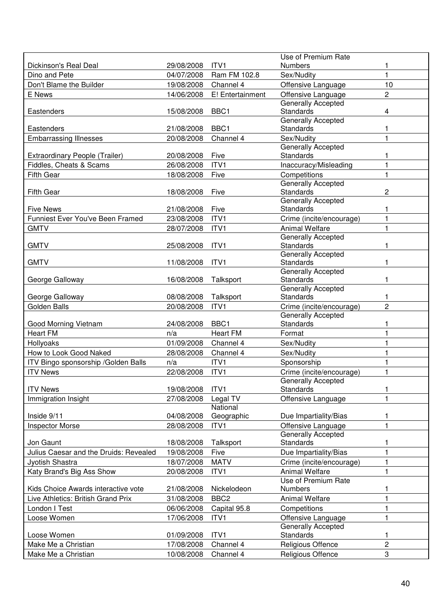|                                        |            |                      | Use of Premium Rate                             |                |
|----------------------------------------|------------|----------------------|-------------------------------------------------|----------------|
| Dickinson's Real Deal                  | 29/08/2008 | ITV1                 | Numbers                                         |                |
| Dino and Pete                          | 04/07/2008 | Ram FM 102.8         | Sex/Nudity                                      | 1              |
| Don't Blame the Builder                | 19/08/2008 | Channel 4            | Offensive Language                              | 10             |
| E News                                 | 14/06/2008 | E! Entertainment     | Offensive Language                              | $\overline{c}$ |
|                                        |            |                      | Generally Accepted                              |                |
| Eastenders                             | 15/08/2008 | BBC1                 | <b>Standards</b>                                | 4              |
|                                        |            |                      | Generally Accepted                              |                |
| Eastenders                             | 21/08/2008 | BBC <sub>1</sub>     | <b>Standards</b>                                |                |
| <b>Embarrassing Illnesses</b>          | 20/08/2008 | Channel 4            | Sex/Nudity                                      | 1              |
|                                        |            |                      | <b>Generally Accepted</b>                       |                |
| Extraordinary People (Trailer)         | 20/08/2008 | Five                 | <b>Standards</b>                                |                |
| Fiddles, Cheats & Scams                | 26/08/2008 | ITV1                 | Inaccuracy/Misleading                           | 1              |
| <b>Fifth Gear</b>                      | 18/08/2008 | Five                 | Competitions                                    |                |
|                                        |            |                      | Generally Accepted                              |                |
| <b>Fifth Gear</b>                      | 18/08/2008 | Five                 | <b>Standards</b>                                | $\overline{c}$ |
|                                        |            |                      | <b>Generally Accepted</b>                       |                |
| <b>Five News</b>                       | 21/08/2008 | Five                 | <b>Standards</b>                                | 1              |
| Funniest Ever You've Been Framed       | 23/08/2008 | ITV1                 | Crime (incite/encourage)                        | 1              |
| <b>GMTV</b>                            | 28/07/2008 | ITV1                 | <b>Animal Welfare</b>                           |                |
|                                        |            |                      | Generally Accepted                              |                |
| <b>GMTV</b>                            | 25/08/2008 | ITV1                 | <b>Standards</b>                                | 1              |
|                                        |            |                      | Generally Accepted                              |                |
| <b>GMTV</b>                            | 11/08/2008 | ITV1                 | <b>Standards</b>                                | 1              |
|                                        |            |                      | Generally Accepted                              | 1              |
| George Galloway                        | 16/08/2008 | Talksport            | Standards<br><b>Generally Accepted</b>          |                |
| George Galloway                        | 08/08/2008 | Talksport            | Standards                                       |                |
| Golden Balls                           | 20/08/2008 | ITV1                 | Crime (incite/encourage)                        | $\overline{c}$ |
|                                        |            |                      | <b>Generally Accepted</b>                       |                |
| Good Morning Vietnam                   | 24/08/2008 | BBC <sub>1</sub>     | Standards                                       |                |
| <b>Heart FM</b>                        | n/a        | <b>Heart FM</b>      | Format                                          |                |
| Hollyoaks                              | 01/09/2008 | Channel 4            | Sex/Nudity                                      |                |
|                                        | 28/08/2008 | Channel 4            | Sex/Nudity                                      |                |
| How to Look Good Naked                 |            |                      |                                                 |                |
| ITV Bingo sponsorship / Golden Balls   | n/a        | ITV1                 | Sponsorship                                     |                |
| <b>ITV News</b>                        | 22/08/2008 | ITV1                 | Crime (incite/encourage)                        | 1              |
|                                        |            |                      | <b>Generally Accepted</b>                       |                |
| <b>ITV News</b>                        | 19/08/2008 | ITV1                 | Standards                                       | 1              |
| Immigration Insight                    | 27/08/2008 | Legal TV<br>National | Offensive Language                              |                |
| Inside 9/11                            | 04/08/2008 | Geographic           | Due Impartiality/Bias                           |                |
|                                        |            |                      |                                                 |                |
| <b>Inspector Morse</b>                 | 28/08/2008 | ITV1                 | Offensive Language<br><b>Generally Accepted</b> | 1              |
| Jon Gaunt                              | 18/08/2008 | Talksport            | <b>Standards</b>                                | 1              |
| Julius Caesar and the Druids: Revealed | 19/08/2008 | Five                 | Due Impartiality/Bias                           | 1              |
|                                        |            |                      |                                                 |                |
| Jyotish Shastra                        | 18/07/2008 | <b>MATV</b>          | Crime (incite/encourage)                        | 1              |
| Katy Brand's Big Ass Show              | 20/08/2008 | ITV1                 | <b>Animal Welfare</b>                           | 1              |
|                                        |            |                      | Use of Premium Rate                             |                |
| Kids Choice Awards interactive vote    | 21/08/2008 | Nickelodeon          | Numbers                                         |                |
| Live Athletics: British Grand Prix     | 31/08/2008 | BBC <sub>2</sub>     | <b>Animal Welfare</b>                           | 1              |
| London I Test                          | 06/06/2008 | Capital 95.8         | Competitions                                    |                |
| Loose Women                            | 17/06/2008 | ITV1                 | Offensive Language                              |                |
|                                        |            |                      | Generally Accepted                              |                |
| Loose Women                            | 01/09/2008 | ITV <sub>1</sub>     | <b>Standards</b>                                | 1              |
| Make Me a Christian                    | 17/08/2008 | Channel 4            | Religious Offence                               | $\overline{c}$ |
| Make Me a Christian                    | 10/08/2008 | Channel 4            | Religious Offence                               | 3              |
|                                        |            |                      |                                                 |                |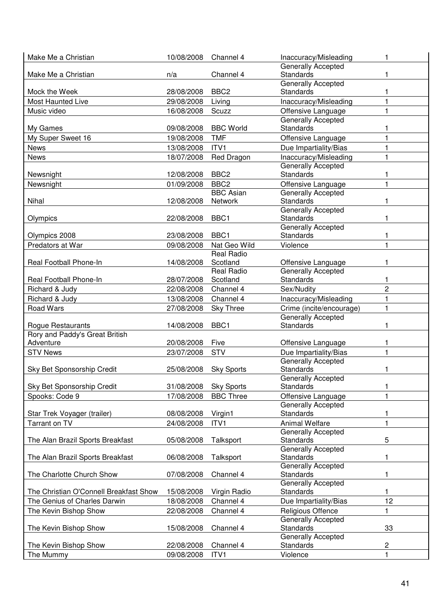| Make Me a Christian                          | 10/08/2008 | Channel 4         | Inaccuracy/Misleading                  |                |
|----------------------------------------------|------------|-------------------|----------------------------------------|----------------|
|                                              |            |                   | Generally Accepted                     |                |
| Make Me a Christian                          | n/a        | Channel 4         | <b>Standards</b>                       |                |
|                                              |            |                   | Generally Accepted                     |                |
| Mock the Week                                | 28/08/2008 | BBC <sub>2</sub>  | <b>Standards</b>                       |                |
| <b>Most Haunted Live</b>                     | 29/08/2008 | Living            | Inaccuracy/Misleading                  |                |
| Music video                                  | 16/08/2008 | Scuzz             | Offensive Language                     |                |
|                                              |            |                   | <b>Generally Accepted</b>              |                |
| My Games                                     | 09/08/2008 | <b>BBC World</b>  | <b>Standards</b>                       |                |
| My Super Sweet 16                            | 19/08/2008 | <b>TMF</b>        | Offensive Language                     |                |
| <b>News</b>                                  | 13/08/2008 | ITV1              | Due Impartiality/Bias                  |                |
| <b>News</b>                                  | 18/07/2008 | Red Dragon        | Inaccuracy/Misleading                  |                |
|                                              |            |                   | Generally Accepted                     |                |
| Newsnight                                    | 12/08/2008 | BBC <sub>2</sub>  | <b>Standards</b>                       |                |
| Newsnight                                    | 01/09/2008 | BBC <sub>2</sub>  | Offensive Language                     | 1              |
|                                              |            | <b>BBC Asian</b>  | Generally Accepted                     |                |
| Nihal                                        | 12/08/2008 | Network           | <b>Standards</b>                       | 1              |
|                                              |            |                   | Generally Accepted                     |                |
| Olympics                                     | 22/08/2008 | BBC <sub>1</sub>  | <b>Standards</b>                       | 1              |
|                                              |            |                   | <b>Generally Accepted</b>              |                |
| Olympics 2008                                | 23/08/2008 | BBC1              | <b>Standards</b>                       |                |
| Predators at War                             | 09/08/2008 | Nat Geo Wild      | Violence                               |                |
|                                              |            | <b>Real Radio</b> |                                        |                |
| Real Football Phone-In                       | 14/08/2008 | Scotland          | Offensive Language                     | 1              |
|                                              |            | <b>Real Radio</b> | Generally Accepted                     |                |
| Real Football Phone-In                       | 28/07/2008 | Scotland          | <b>Standards</b>                       | 1              |
| Richard & Judy                               | 22/08/2008 | Channel 4         | Sex/Nudity                             | $\overline{2}$ |
| Richard & Judy                               | 13/08/2008 | Channel 4         | Inaccuracy/Misleading                  | 1              |
| <b>Road Wars</b>                             | 27/08/2008 | <b>Sky Three</b>  | Crime (incite/encourage)               | 1              |
|                                              |            |                   | Generally Accepted                     |                |
| Rogue Restaurants                            | 14/08/2008 | BBC1              | <b>Standards</b>                       | 1              |
| Rory and Paddy's Great British               |            |                   |                                        |                |
| Adventure                                    | 20/08/2008 | Five              | Offensive Language                     |                |
| <b>STV News</b>                              | 23/07/2008 | <b>STV</b>        | Due Impartiality/Bias                  | 1              |
|                                              |            |                   | <b>Generally Accepted</b>              |                |
| Sky Bet Sponsorship Credit                   | 25/08/2008 | <b>Sky Sports</b> | <b>Standards</b>                       | 1              |
|                                              |            |                   | <b>Generally Accepted</b><br>Standards |                |
| Sky Bet Sponsorship Credit                   | 31/08/2008 | <b>Sky Sports</b> |                                        | 1              |
| Spooks: Code 9                               | 17/08/2008 | <b>BBC Three</b>  | Offensive Language                     | 1              |
|                                              | 08/08/2008 | Virgin1           | <b>Generally Accepted</b><br>Standards |                |
| Star Trek Voyager (trailer)<br>Tarrant on TV | 24/08/2008 | ITV1              | <b>Animal Welfare</b>                  | 1<br>1         |
|                                              |            |                   | <b>Generally Accepted</b>              |                |
| The Alan Brazil Sports Breakfast             | 05/08/2008 | Talksport         | Standards                              | 5              |
|                                              |            |                   | <b>Generally Accepted</b>              |                |
| The Alan Brazil Sports Breakfast             | 06/08/2008 | Talksport         | <b>Standards</b>                       | 1              |
|                                              |            |                   | <b>Generally Accepted</b>              |                |
| The Charlotte Church Show                    | 07/08/2008 | Channel 4         | <b>Standards</b>                       | 1              |
|                                              |            |                   | Generally Accepted                     |                |
| The Christian O'Connell Breakfast Show       | 15/08/2008 | Virgin Radio      | Standards                              | 1              |
| The Genius of Charles Darwin                 | 18/08/2008 | Channel 4         | Due Impartiality/Bias                  | 12             |
| The Kevin Bishop Show                        | 22/08/2008 | Channel 4         | Religious Offence                      | 1              |
|                                              |            |                   | <b>Generally Accepted</b>              |                |
| The Kevin Bishop Show                        | 15/08/2008 | Channel 4         | <b>Standards</b>                       | 33             |
|                                              |            |                   | Generally Accepted                     |                |
| The Kevin Bishop Show                        | 22/08/2008 | Channel 4         | Standards                              | $\overline{c}$ |
| The Mummy                                    | 09/08/2008 | ITV1              | Violence                               | 1              |
|                                              |            |                   |                                        |                |